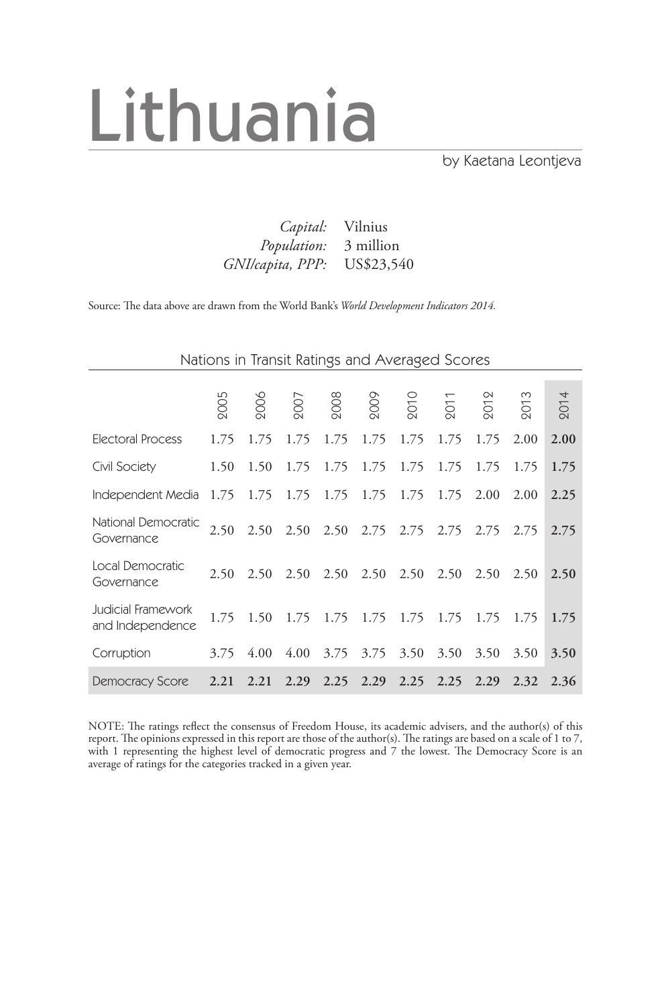# Lithuania

by Kaetana Leontjeva

| <i>Capital:</i> Vilnius      |  |
|------------------------------|--|
| <i>Population:</i> 3 million |  |
| GNI/capita, PPP: US\$23,540  |  |

Source: The data above are drawn from the World Bank's *World Development Indicators 2014.*

|                                        |      |      |      | Nations in Transit Ratings and Averaged Scores |                   |             |                |      |      |      |
|----------------------------------------|------|------|------|------------------------------------------------|-------------------|-------------|----------------|------|------|------|
|                                        |      |      |      |                                                |                   |             |                |      |      |      |
|                                        | 2005 | 2006 | 2007 | 2008                                           | 2009              | <b>2010</b> | $\overline{5}$ | 201  | 201  | 2014 |
| Electoral Process                      | 1.75 | 1.75 | 1.75 | 1.75                                           | 1.75              | 1.75        | 1.75           | 1.75 | 2.00 | 2.00 |
| Civil Society                          | 1.50 | 1.50 | 1.75 | 1.75                                           | 1.75              | 1.75        | 1.75           | 1.75 | 1.75 | 1.75 |
| Independent Media                      | 1.75 | 1.75 | 1.75 | 1.75                                           | 1.75              | 1.75        | 1.75           | 2.00 | 2.00 | 2.25 |
| National Democratic<br>Governance      | 2.50 | 2.50 | 2.50 |                                                | $2.50 \quad 2.75$ | 2.75        | 2.75           | 2.75 | 2.75 | 2.75 |
| Local Democratic<br>Governance         | 2.50 | 2.50 | 2.50 | 2.50                                           | 2.50              | 2.50        | 2.50           | 2.50 | 2.50 | 2.50 |
| Judicial Framework<br>and Independence | 1.75 | 1.50 | 1.75 | 1.75                                           | 1.75              | 1.75        | 1.75           | 1.75 | 1.75 | 1.75 |
| Corruption                             | 3.75 | 4.00 | 4.00 | 3.75                                           | 3.75              | 3.50        | 3.50           | 3.50 | 3.50 | 3.50 |
| <b>Democracy Score</b>                 | 2.21 | 2.21 | 2.29 | 2.25                                           | 2.29              | 2.25        | 2.25           | 2.29 | 2.32 | 2.36 |

NOTE: The ratings reflect the consensus of Freedom House, its academic advisers, and the author(s) of this report. The opinions expressed in this report are those of the author(s). The ratings are based on a scale of 1 to 7, with 1 representing the highest level of democratic progress and 7 the lowest. The Democracy Score is an average of ratings for the categories tracked in a given year.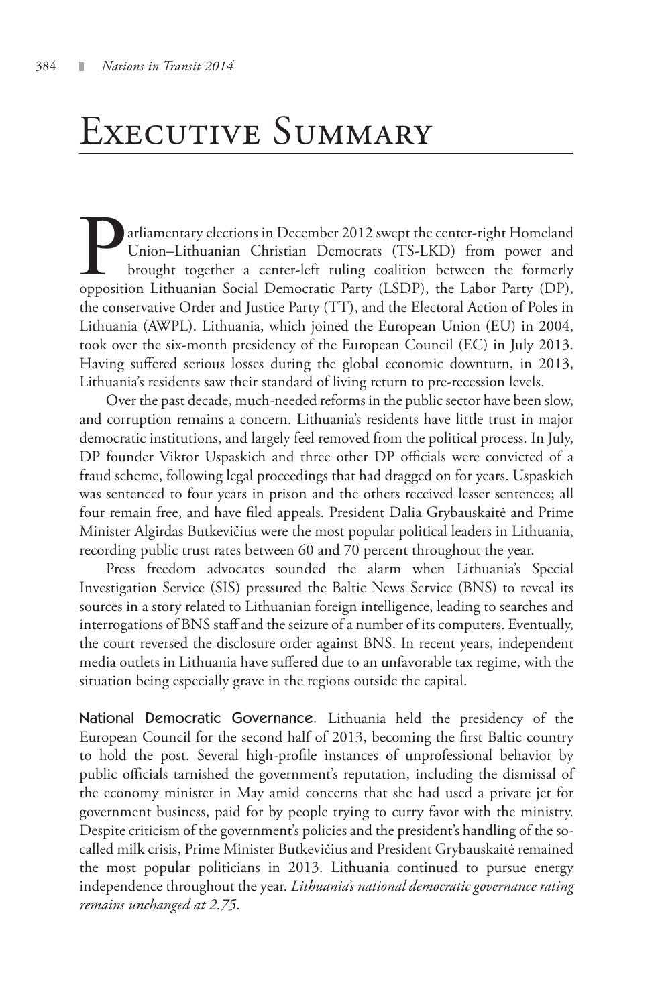## Executive Summary

arliamentary elections in December 2012 swept the center-right Homeland Union–Lithuanian Christian Democrats (TS-LKD) from power and brought together a center-left ruling coalition between the formerly opposition Lithuanian Social Democratic Party (LSDP), the Labor Party (DP), the conservative Order and Justice Party (TT), and the Electoral Action of Poles in Lithuania (AWPL). Lithuania, which joined the European Union (EU) in 2004, took over the six-month presidency of the European Council (EC) in July 2013. Having suffered serious losses during the global economic downturn, in 2013, Lithuania's residents saw their standard of living return to pre-recession levels.

Over the past decade, much-needed reforms in the public sector have been slow, and corruption remains a concern. Lithuania's residents have little trust in major democratic institutions, and largely feel removed from the political process. In July, DP founder Viktor Uspaskich and three other DP officials were convicted of a fraud scheme, following legal proceedings that had dragged on for years. Uspaskich was sentenced to four years in prison and the others received lesser sentences; all four remain free, and have filed appeals. President Dalia Grybauskaitė and Prime Minister Algirdas Butkevičius were the most popular political leaders in Lithuania, recording public trust rates between 60 and 70 percent throughout the year.

Press freedom advocates sounded the alarm when Lithuania's Special Investigation Service (SIS) pressured the Baltic News Service (BNS) to reveal its sources in a story related to Lithuanian foreign intelligence, leading to searches and interrogations of BNS staff and the seizure of a number of its computers. Eventually, the court reversed the disclosure order against BNS. In recent years, independent media outlets in Lithuania have suffered due to an unfavorable tax regime, with the situation being especially grave in the regions outside the capital.

National Democratic Governance. Lithuania held the presidency of the European Council for the second half of 2013, becoming the first Baltic country to hold the post. Several high-profile instances of unprofessional behavior by public officials tarnished the government's reputation, including the dismissal of the economy minister in May amid concerns that she had used a private jet for government business, paid for by people trying to curry favor with the ministry. Despite criticism of the government's policies and the president's handling of the socalled milk crisis, Prime Minister Butkevičius and President Grybauskaitė remained the most popular politicians in 2013. Lithuania continued to pursue energy independence throughout the year. *Lithuania's national democratic governance rating remains unchanged at 2.75*.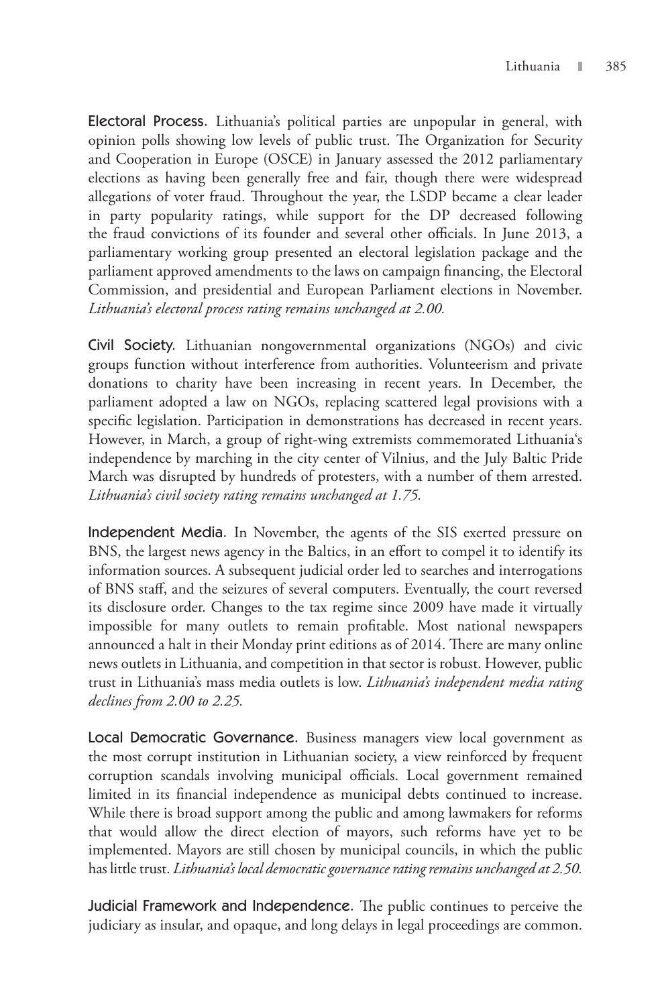Electoral Process. Lithuania's political parties are unpopular in general, with opinion polls showing low levels of public trust. The Organization for Security and Cooperation in Europe (OSCE) in January assessed the 2012 parliamentary elections as having been generally free and fair, though there were widespread allegations of voter fraud. Throughout the year, the LSDP became a clear leader in party popularity ratings, while support for the DP decreased following the fraud convictions of its founder and several other officials. In June 2013, a parliamentary working group presented an electoral legislation package and the parliament approved amendments to the laws on campaign financing, the Electoral Commission, and presidential and European Parliament elections in November. *Lithuania's electoral process rating remains unchanged at 2.00.*

Civil Society. Lithuanian nongovernmental organizations (NGOs) and civic groups function without interference from authorities. Volunteerism and private donations to charity have been increasing in recent years. In December, the parliament adopted a law on NGOs, replacing scattered legal provisions with a specific legislation. Participation in demonstrations has decreased in recent years. However, in March, a group of right-wing extremists commemorated Lithuania's independence by marching in the city center of Vilnius, and the July Baltic Pride March was disrupted by hundreds of protesters, with a number of them arrested. *Lithuania's civil society rating remains unchanged at 1.75.*

Independent Media. In November, the agents of the SIS exerted pressure on BNS, the largest news agency in the Baltics, in an effort to compel it to identify its information sources. A subsequent judicial order led to searches and interrogations of BNS staff, and the seizures of several computers. Eventually, the court reversed its disclosure order. Changes to the tax regime since 2009 have made it virtually impossible for many outlets to remain profitable. Most national newspapers announced a halt in their Monday print editions as of 2014. There are many online news outlets in Lithuania, and competition in that sector is robust. However, public trust in Lithuania's mass media outlets is low. *Lithuania's independent media rating declines from 2.00 to 2.25.*

Local Democratic Governance. Business managers view local government as the most corrupt institution in Lithuanian society, a view reinforced by frequent corruption scandals involving municipal officials. Local government remained limited in its financial independence as municipal debts continued to increase. While there is broad support among the public and among lawmakers for reforms that would allow the direct election of mayors, such reforms have yet to be implemented. Mayors are still chosen by municipal councils, in which the public has little trust. *Lithuania's local democratic governance rating remains unchanged at 2.50.*

Judicial Framework and Independence. The public continues to perceive the judiciary as insular, and opaque, and long delays in legal proceedings are common.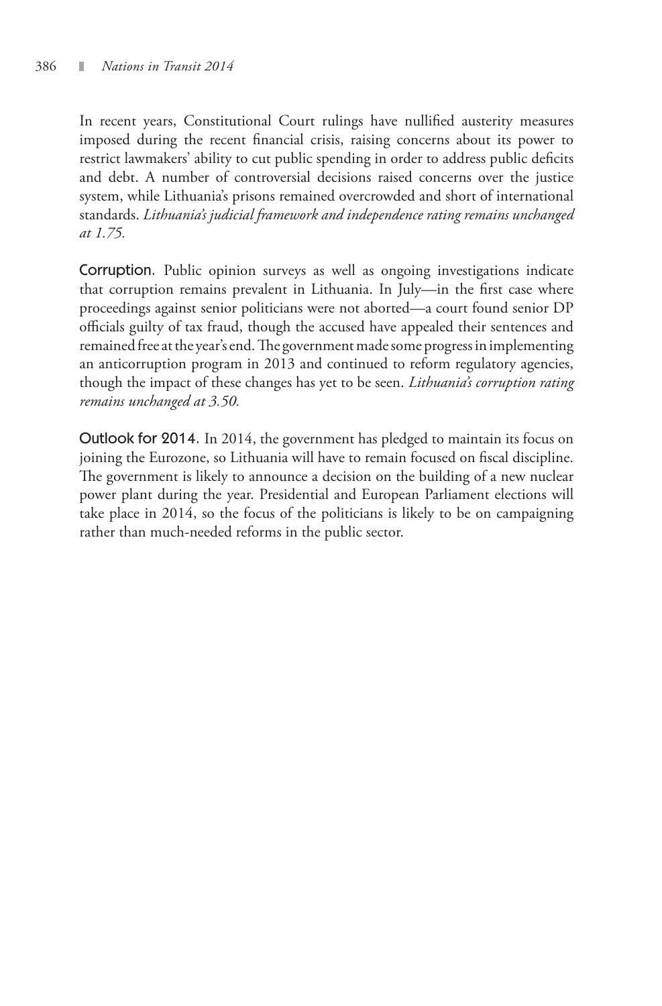In recent years, Constitutional Court rulings have nullified austerity measures imposed during the recent financial crisis, raising concerns about its power to restrict lawmakers' ability to cut public spending in order to address public deficits and debt. A number of controversial decisions raised concerns over the justice system, while Lithuania's prisons remained overcrowded and short of international standards. *Lithuania's judicial framework and independence rating remains unchanged at 1.75.*

Corruption. Public opinion surveys as well as ongoing investigations indicate that corruption remains prevalent in Lithuania. In July—in the first case where proceedings against senior politicians were not aborted—a court found senior DP officials guilty of tax fraud, though the accused have appealed their sentences and remained free at the year's end. The government made some progress in implementing an anticorruption program in 2013 and continued to reform regulatory agencies, though the impact of these changes has yet to be seen. *Lithuania's corruption rating remains unchanged at 3.50.*

Outlook for 2014. In 2014, the government has pledged to maintain its focus on joining the Eurozone, so Lithuania will have to remain focused on fiscal discipline. The government is likely to announce a decision on the building of a new nuclear power plant during the year. Presidential and European Parliament elections will take place in 2014, so the focus of the politicians is likely to be on campaigning rather than much-needed reforms in the public sector.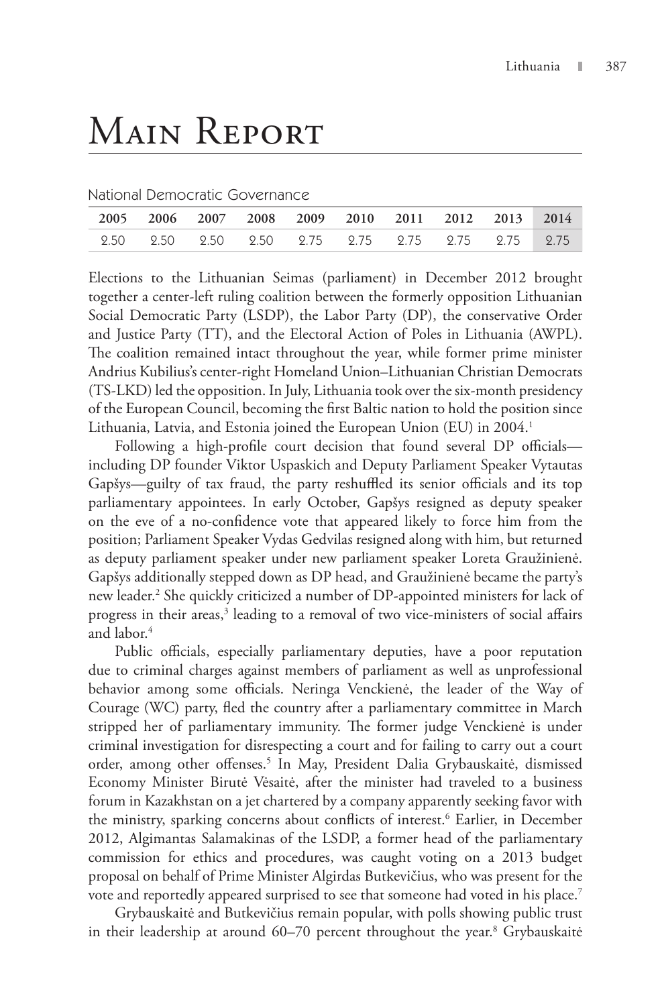## Main Report

National Democratic Governance

|  |  | 2005 2006 2007 2008 2009 2010 2011 2012 2013 2014 |  |  |
|--|--|---------------------------------------------------|--|--|
|  |  | 2.50 2.50 2.50 2.50 2.75 2.75 2.75 2.75 2.75 2.75 |  |  |

Elections to the Lithuanian Seimas (parliament) in December 2012 brought together a center-left ruling coalition between the formerly opposition Lithuanian Social Democratic Party (LSDP), the Labor Party (DP), the conservative Order and Justice Party (TT), and the Electoral Action of Poles in Lithuania (AWPL). The coalition remained intact throughout the year, while former prime minister Andrius Kubilius's center-right Homeland Union–Lithuanian Christian Democrats (TS-LKD) led the opposition. In July, Lithuania took over the six-month presidency of the European Council, becoming the first Baltic nation to hold the position since Lithuania, Latvia, and Estonia joined the European Union (EU) in 2004.<sup>1</sup>

Following a high-profile court decision that found several DP officials including DP founder Viktor Uspaskich and Deputy Parliament Speaker Vytautas Gapšys—guilty of tax fraud, the party reshuffled its senior officials and its top parliamentary appointees. In early October, Gapšys resigned as deputy speaker on the eve of a no-confidence vote that appeared likely to force him from the position; Parliament Speaker Vydas Gedvilas resigned along with him, but returned as deputy parliament speaker under new parliament speaker Loreta Graužinienė. Gapšys additionally stepped down as DP head, and Graužinienė became the party's new leader.2 She quickly criticized a number of DP-appointed ministers for lack of progress in their areas,<sup>3</sup> leading to a removal of two vice-ministers of social affairs and labor.<sup>4</sup>

Public officials, especially parliamentary deputies, have a poor reputation due to criminal charges against members of parliament as well as unprofessional behavior among some officials. Neringa Venckienė, the leader of the Way of Courage (WC) party, fled the country after a parliamentary committee in March stripped her of parliamentary immunity. The former judge Venckienė is under criminal investigation for disrespecting a court and for failing to carry out a court order, among other offenses.<sup>5</sup> In May, President Dalia Grybauskaitė, dismissed Economy Minister Birutė Vėsaitė, after the minister had traveled to a business forum in Kazakhstan on a jet chartered by a company apparently seeking favor with the ministry, sparking concerns about conflicts of interest.<sup>6</sup> Earlier, in December 2012, Algimantas Salamakinas of the LSDP, a former head of the parliamentary commission for ethics and procedures, was caught voting on a 2013 budget proposal on behalf of Prime Minister Algirdas Butkevičius, who was present for the vote and reportedly appeared surprised to see that someone had voted in his place.7

Grybauskaitė and Butkevičius remain popular, with polls showing public trust in their leadership at around 60–70 percent throughout the year.<sup>8</sup> Grybauskaitė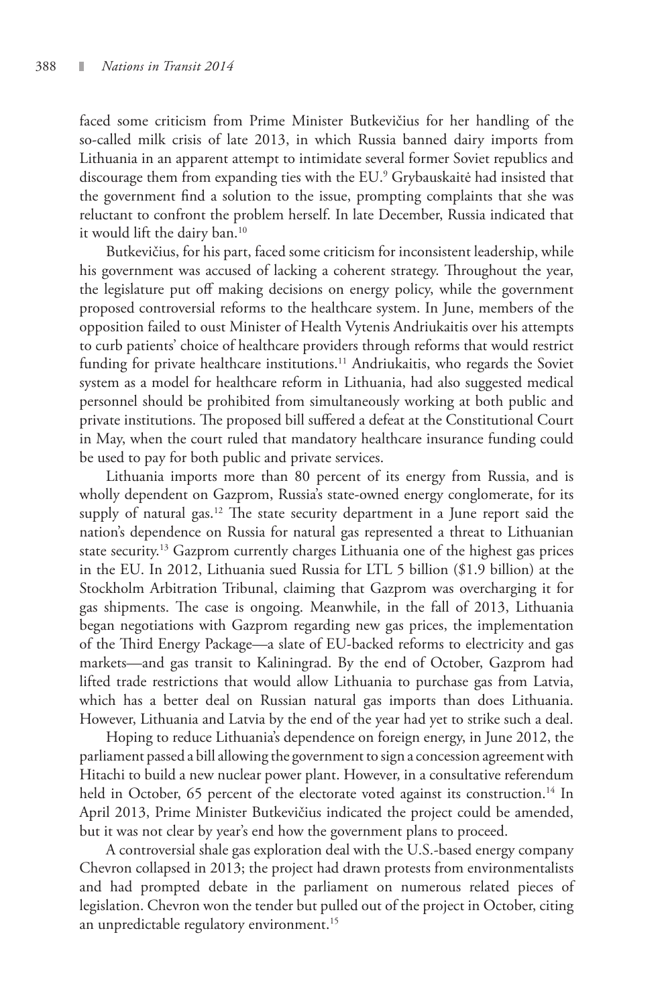faced some criticism from Prime Minister Butkevičius for her handling of the so-called milk crisis of late 2013, in which Russia banned dairy imports from Lithuania in an apparent attempt to intimidate several former Soviet republics and discourage them from expanding ties with the EU.9 Grybauskaitė had insisted that the government find a solution to the issue, prompting complaints that she was reluctant to confront the problem herself. In late December, Russia indicated that it would lift the dairy ban.<sup>10</sup>

Butkevičius, for his part, faced some criticism for inconsistent leadership, while his government was accused of lacking a coherent strategy. Throughout the year, the legislature put off making decisions on energy policy, while the government proposed controversial reforms to the healthcare system. In June, members of the opposition failed to oust Minister of Health Vytenis Andriukaitis over his attempts to curb patients' choice of healthcare providers through reforms that would restrict funding for private healthcare institutions.<sup>11</sup> Andriukaitis, who regards the Soviet system as a model for healthcare reform in Lithuania, had also suggested medical personnel should be prohibited from simultaneously working at both public and private institutions. The proposed bill suffered a defeat at the Constitutional Court in May, when the court ruled that mandatory healthcare insurance funding could be used to pay for both public and private services.

Lithuania imports more than 80 percent of its energy from Russia, and is wholly dependent on Gazprom, Russia's state-owned energy conglomerate, for its supply of natural gas.<sup>12</sup> The state security department in a June report said the nation's dependence on Russia for natural gas represented a threat to Lithuanian state security.<sup>13</sup> Gazprom currently charges Lithuania one of the highest gas prices in the EU. In 2012, Lithuania sued Russia for LTL 5 billion (\$1.9 billion) at the Stockholm Arbitration Tribunal, claiming that Gazprom was overcharging it for gas shipments. The case is ongoing. Meanwhile, in the fall of 2013, Lithuania began negotiations with Gazprom regarding new gas prices, the implementation of the Third Energy Package—a slate of EU-backed reforms to electricity and gas markets—and gas transit to Kaliningrad. By the end of October, Gazprom had lifted trade restrictions that would allow Lithuania to purchase gas from Latvia, which has a better deal on Russian natural gas imports than does Lithuania. However, Lithuania and Latvia by the end of the year had yet to strike such a deal.

Hoping to reduce Lithuania's dependence on foreign energy, in June 2012, the parliament passed a bill allowing the government to sign a concession agreement with Hitachi to build a new nuclear power plant. However, in a consultative referendum held in October, 65 percent of the electorate voted against its construction.<sup>14</sup> In April 2013, Prime Minister Butkevičius indicated the project could be amended, but it was not clear by year's end how the government plans to proceed.

A controversial shale gas exploration deal with the U.S.-based energy company Chevron collapsed in 2013; the project had drawn protests from environmentalists and had prompted debate in the parliament on numerous related pieces of legislation. Chevron won the tender but pulled out of the project in October, citing an unpredictable regulatory environment.<sup>15</sup>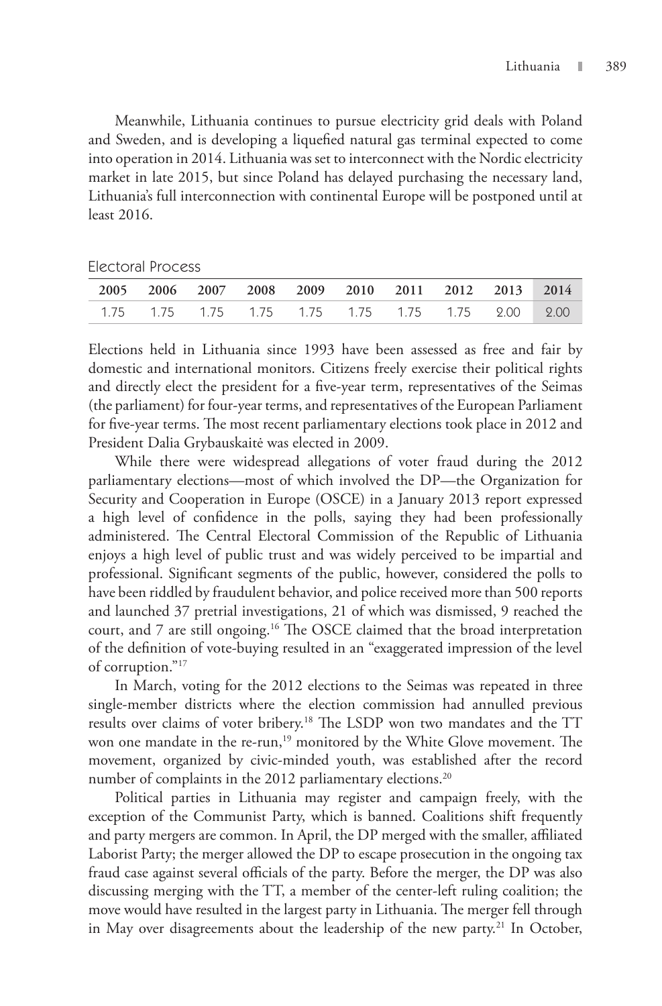Meanwhile, Lithuania continues to pursue electricity grid deals with Poland and Sweden, and is developing a liquefied natural gas terminal expected to come into operation in 2014. Lithuania was set to interconnect with the Nordic electricity market in late 2015, but since Poland has delayed purchasing the necessary land, Lithuania's full interconnection with continental Europe will be postponed until at least 2016.

| <b>Electoral Process</b> |
|--------------------------|
|                          |

|  |  | 2005 2006 2007 2008 2009 2010 2011 2012 2013 2014 |  |  |  |
|--|--|---------------------------------------------------|--|--|--|
|  |  |                                                   |  |  |  |

Elections held in Lithuania since 1993 have been assessed as free and fair by domestic and international monitors. Citizens freely exercise their political rights and directly elect the president for a five-year term, representatives of the Seimas (the parliament) for four-year terms, and representatives of the European Parliament for five-year terms. The most recent parliamentary elections took place in 2012 and President Dalia Grybauskaitė was elected in 2009.

While there were widespread allegations of voter fraud during the 2012 parliamentary elections—most of which involved the DP—the Organization for Security and Cooperation in Europe (OSCE) in a January 2013 report expressed a high level of confidence in the polls, saying they had been professionally administered. The Central Electoral Commission of the Republic of Lithuania enjoys a high level of public trust and was widely perceived to be impartial and professional. Significant segments of the public, however, considered the polls to have been riddled by fraudulent behavior, and police received more than 500 reports and launched 37 pretrial investigations, 21 of which was dismissed, 9 reached the court, and 7 are still ongoing.<sup>16</sup> The OSCE claimed that the broad interpretation of the definition of vote-buying resulted in an "exaggerated impression of the level of corruption."17

In March, voting for the 2012 elections to the Seimas was repeated in three single-member districts where the election commission had annulled previous results over claims of voter bribery.18 The LSDP won two mandates and the TT won one mandate in the re-run,<sup>19</sup> monitored by the White Glove movement. The movement, organized by civic-minded youth, was established after the record number of complaints in the 2012 parliamentary elections.<sup>20</sup>

Political parties in Lithuania may register and campaign freely, with the exception of the Communist Party, which is banned. Coalitions shift frequently and party mergers are common. In April, the DP merged with the smaller, affiliated Laborist Party; the merger allowed the DP to escape prosecution in the ongoing tax fraud case against several officials of the party. Before the merger, the DP was also discussing merging with the TT, a member of the center-left ruling coalition; the move would have resulted in the largest party in Lithuania. The merger fell through in May over disagreements about the leadership of the new party.<sup>21</sup> In October,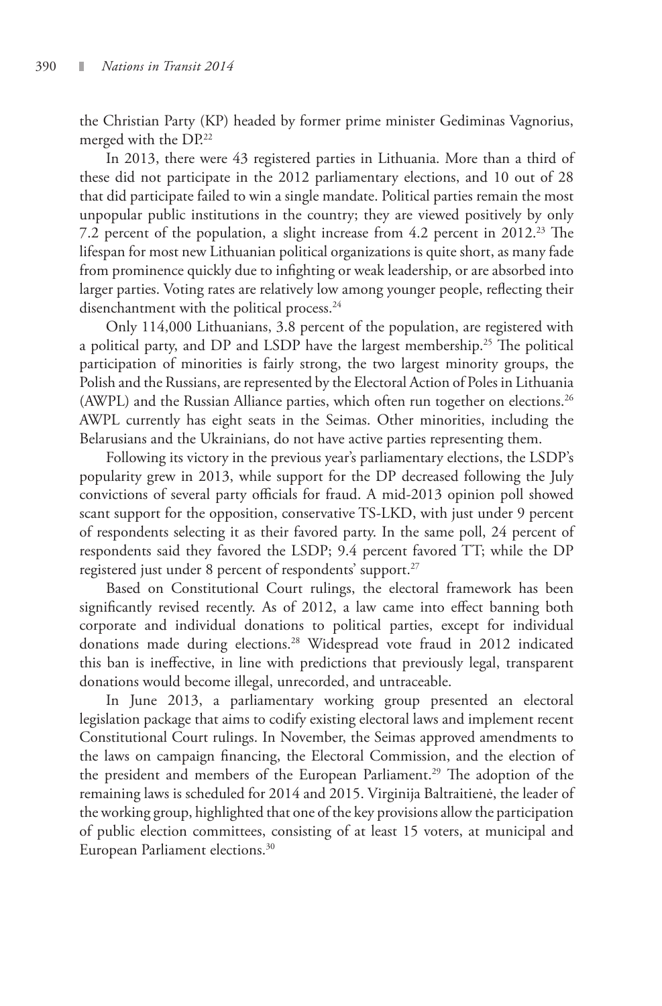the Christian Party (KP) headed by former prime minister Gediminas Vagnorius, merged with the DP.<sup>22</sup>

In 2013, there were 43 registered parties in Lithuania. More than a third of these did not participate in the 2012 parliamentary elections, and 10 out of 28 that did participate failed to win a single mandate. Political parties remain the most unpopular public institutions in the country; they are viewed positively by only 7.2 percent of the population, a slight increase from 4.2 percent in 2012.<sup>23</sup> The lifespan for most new Lithuanian political organizations is quite short, as many fade from prominence quickly due to infighting or weak leadership, or are absorbed into larger parties. Voting rates are relatively low among younger people, reflecting their disenchantment with the political process.<sup>24</sup>

Only 114,000 Lithuanians, 3.8 percent of the population, are registered with a political party, and DP and LSDP have the largest membership.<sup>25</sup> The political participation of minorities is fairly strong, the two largest minority groups, the Polish and the Russians, are represented by the Electoral Action of Poles in Lithuania (AWPL) and the Russian Alliance parties, which often run together on elections.<sup>26</sup> AWPL currently has eight seats in the Seimas. Other minorities, including the Belarusians and the Ukrainians, do not have active parties representing them.

Following its victory in the previous year's parliamentary elections, the LSDP's popularity grew in 2013, while support for the DP decreased following the July convictions of several party officials for fraud. A mid-2013 opinion poll showed scant support for the opposition, conservative TS-LKD, with just under 9 percent of respondents selecting it as their favored party. In the same poll, 24 percent of respondents said they favored the LSDP; 9.4 percent favored TT; while the DP registered just under 8 percent of respondents' support.<sup>27</sup>

Based on Constitutional Court rulings, the electoral framework has been significantly revised recently. As of 2012, a law came into effect banning both corporate and individual donations to political parties, except for individual donations made during elections.<sup>28</sup> Widespread vote fraud in 2012 indicated this ban is ineffective, in line with predictions that previously legal, transparent donations would become illegal, unrecorded, and untraceable.

In June 2013, a parliamentary working group presented an electoral legislation package that aims to codify existing electoral laws and implement recent Constitutional Court rulings. In November, the Seimas approved amendments to the laws on campaign financing, the Electoral Commission, and the election of the president and members of the European Parliament.<sup>29</sup> The adoption of the remaining laws is scheduled for 2014 and 2015. Virginija Baltraitienė, the leader of the working group, highlighted that one of the key provisions allow the participation of public election committees, consisting of at least 15 voters, at municipal and European Parliament elections.<sup>30</sup>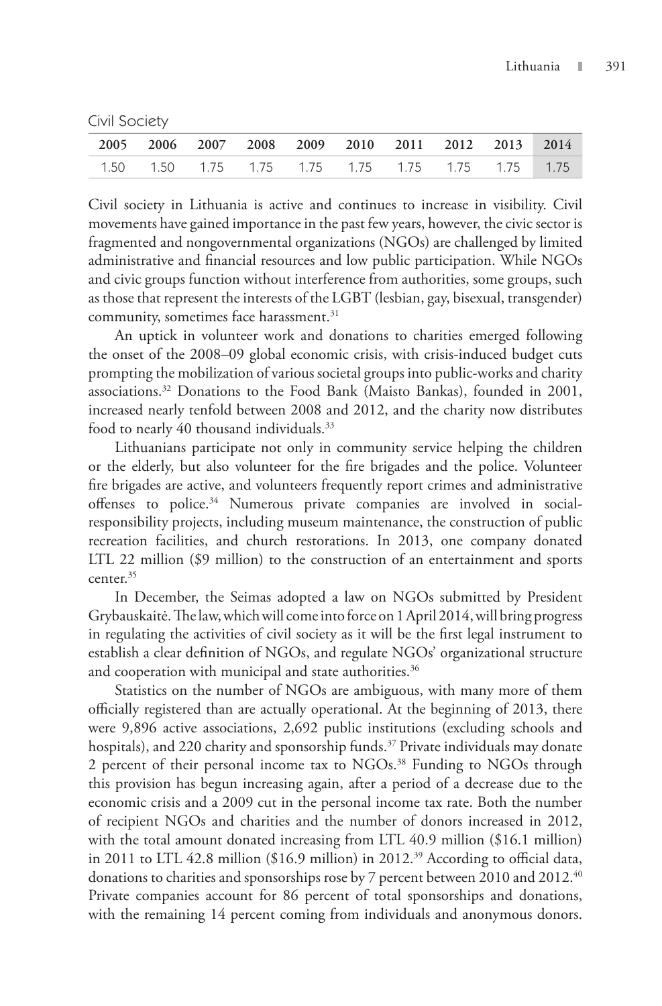Civil Society

| 2005 2006 2007 2008 2009 2010 2011 2012 2013 2014 |  |  |  |  |  |
|---------------------------------------------------|--|--|--|--|--|
|                                                   |  |  |  |  |  |

Civil society in Lithuania is active and continues to increase in visibility. Civil movements have gained importance in the past few years, however, the civic sector is fragmented and nongovernmental organizations (NGOs) are challenged by limited administrative and financial resources and low public participation. While NGOs and civic groups function without interference from authorities, some groups, such as those that represent the interests of the LGBT (lesbian, gay, bisexual, transgender) community, sometimes face harassment.<sup>31</sup>

An uptick in volunteer work and donations to charities emerged following the onset of the 2008–09 global economic crisis, with crisis-induced budget cuts prompting the mobilization of various societal groups into public-works and charity associations.32 Donations to the Food Bank (Maisto Bankas), founded in 2001, increased nearly tenfold between 2008 and 2012, and the charity now distributes food to nearly 40 thousand individuals.33

Lithuanians participate not only in community service helping the children or the elderly, but also volunteer for the fire brigades and the police. Volunteer fire brigades are active, and volunteers frequently report crimes and administrative offenses to police.<sup>34</sup> Numerous private companies are involved in socialresponsibility projects, including museum maintenance, the construction of public recreation facilities, and church restorations. In 2013, one company donated LTL 22 million (\$9 million) to the construction of an entertainment and sports center.<sup>35</sup>

In December, the Seimas adopted a law on NGOs submitted by President Grybauskaitė. The law, which will come into force on 1 April 2014, will bring progress in regulating the activities of civil society as it will be the first legal instrument to establish a clear definition of NGOs, and regulate NGOs' organizational structure and cooperation with municipal and state authorities.<sup>36</sup>

Statistics on the number of NGOs are ambiguous, with many more of them officially registered than are actually operational. At the beginning of 2013, there were 9,896 active associations, 2,692 public institutions (excluding schools and hospitals), and 220 charity and sponsorship funds.<sup>37</sup> Private individuals may donate 2 percent of their personal income tax to NGOs.<sup>38</sup> Funding to NGOs through this provision has begun increasing again, after a period of a decrease due to the economic crisis and a 2009 cut in the personal income tax rate. Both the number of recipient NGOs and charities and the number of donors increased in 2012, with the total amount donated increasing from LTL 40.9 million (\$16.1 million) in 2011 to LTL 42.8 million (\$16.9 million) in 2012.39 According to official data, donations to charities and sponsorships rose by 7 percent between 2010 and 2012.40 Private companies account for 86 percent of total sponsorships and donations, with the remaining 14 percent coming from individuals and anonymous donors.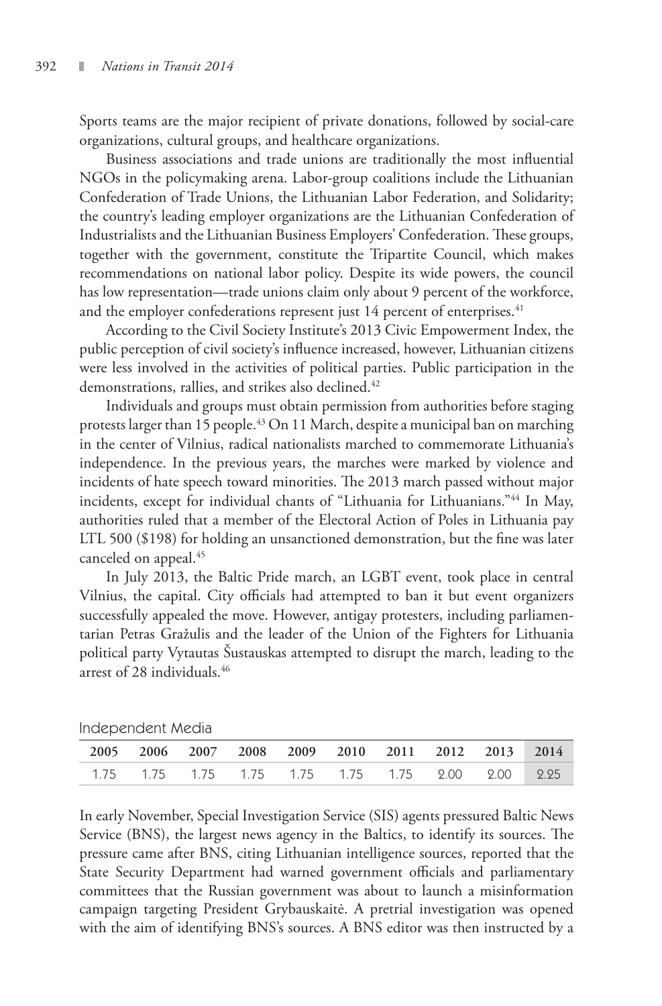Sports teams are the major recipient of private donations, followed by social-care organizations, cultural groups, and healthcare organizations.

Business associations and trade unions are traditionally the most influential NGOs in the policymaking arena. Labor-group coalitions include the Lithuanian Confederation of Trade Unions, the Lithuanian Labor Federation, and Solidarity; the country's leading employer organizations are the Lithuanian Confederation of Industrialists and the Lithuanian Business Employers' Confederation. These groups, together with the government, constitute the Tripartite Council, which makes recommendations on national labor policy. Despite its wide powers, the council has low representation—trade unions claim only about 9 percent of the workforce, and the employer confederations represent just  $14$  percent of enterprises.<sup>41</sup>

According to the Civil Society Institute's 2013 Civic Empowerment Index, the public perception of civil society's influence increased, however, Lithuanian citizens were less involved in the activities of political parties. Public participation in the demonstrations, rallies, and strikes also declined.<sup>42</sup>

Individuals and groups must obtain permission from authorities before staging protests larger than 15 people.<sup>43</sup> On 11 March, despite a municipal ban on marching in the center of Vilnius, radical nationalists marched to commemorate Lithuania's independence. In the previous years, the marches were marked by violence and incidents of hate speech toward minorities. The 2013 march passed without major incidents, except for individual chants of "Lithuania for Lithuanians."44 In May, authorities ruled that a member of the Electoral Action of Poles in Lithuania pay LTL 500 (\$198) for holding an unsanctioned demonstration, but the fine was later canceled on appeal.45

In July 2013, the Baltic Pride march, an LGBT event, took place in central Vilnius, the capital. City officials had attempted to ban it but event organizers successfully appealed the move. However, antigay protesters, including parliamentarian Petras Gražulis and the leader of the Union of the Fighters for Lithuania political party Vytautas Šustauskas attempted to disrupt the march, leading to the arrest of 28 individuals.46

| 2005 2006 2007 2008 2009 2010 2011 2012 2013 2014 |  |  |  |  |  |
|---------------------------------------------------|--|--|--|--|--|
| 1.75 1.75 1.75 1.75 1.75 1.75 1.75 2.00 2.00 2.25 |  |  |  |  |  |

| Independent Media |  |
|-------------------|--|
|-------------------|--|

In early November, Special Investigation Service (SIS) agents pressured Baltic News Service (BNS), the largest news agency in the Baltics, to identify its sources. The pressure came after BNS, citing Lithuanian intelligence sources, reported that the State Security Department had warned government officials and parliamentary committees that the Russian government was about to launch a misinformation campaign targeting President Grybauskaitė. A pretrial investigation was opened with the aim of identifying BNS's sources. A BNS editor was then instructed by a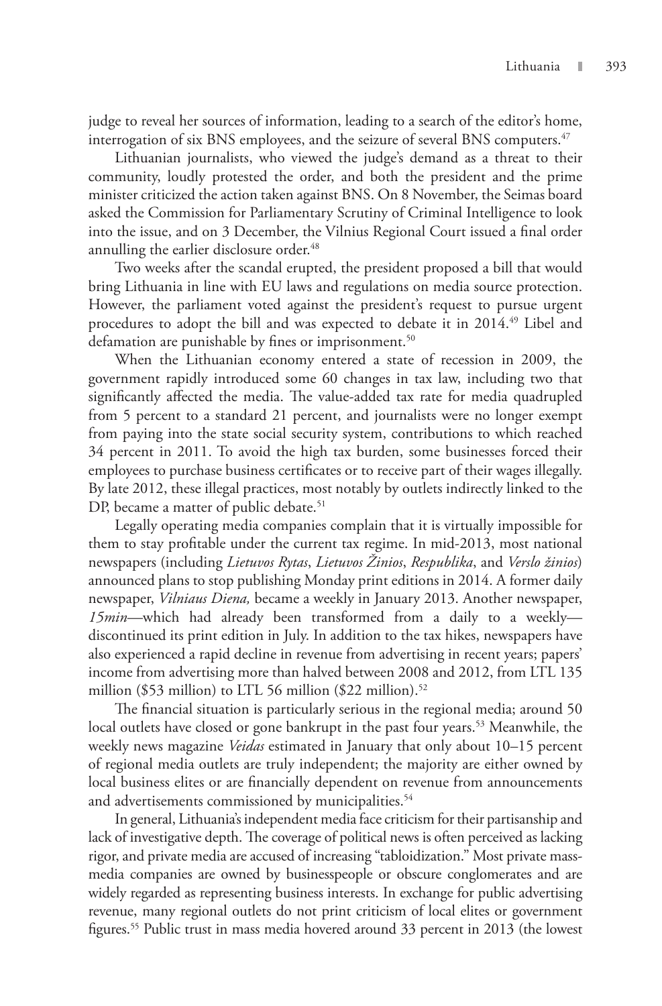judge to reveal her sources of information, leading to a search of the editor's home, interrogation of six BNS employees, and the seizure of several BNS computers.<sup>47</sup>

Lithuanian journalists, who viewed the judge's demand as a threat to their community, loudly protested the order, and both the president and the prime minister criticized the action taken against BNS. On 8 November, the Seimas board asked the Commission for Parliamentary Scrutiny of Criminal Intelligence to look into the issue, and on 3 December, the Vilnius Regional Court issued a final order annulling the earlier disclosure order.<sup>48</sup>

Two weeks after the scandal erupted, the president proposed a bill that would bring Lithuania in line with EU laws and regulations on media source protection. However, the parliament voted against the president's request to pursue urgent procedures to adopt the bill and was expected to debate it in 2014.<sup>49</sup> Libel and defamation are punishable by fines or imprisonment.<sup>50</sup>

When the Lithuanian economy entered a state of recession in 2009, the government rapidly introduced some 60 changes in tax law, including two that significantly affected the media. The value-added tax rate for media quadrupled from 5 percent to a standard 21 percent, and journalists were no longer exempt from paying into the state social security system, contributions to which reached 34 percent in 2011. To avoid the high tax burden, some businesses forced their employees to purchase business certificates or to receive part of their wages illegally. By late 2012, these illegal practices, most notably by outlets indirectly linked to the DP, became a matter of public debate.<sup>51</sup>

Legally operating media companies complain that it is virtually impossible for them to stay profitable under the current tax regime. In mid-2013, most national newspapers (including *Lietuvos Rytas*, *Lietuvos Žinios*, *Respublika*, and *Verslo žinios*) announced plans to stop publishing Monday print editions in 2014. A former daily newspaper, *Vilniaus Diena,* became a weekly in January 2013. Another newspaper, *15min*—which had already been transformed from a daily to a weekly discontinued its print edition in July. In addition to the tax hikes, newspapers have also experienced a rapid decline in revenue from advertising in recent years; papers' income from advertising more than halved between 2008 and 2012, from LTL 135 million (\$53 million) to LTL 56 million (\$22 million).<sup>52</sup>

The financial situation is particularly serious in the regional media; around 50 local outlets have closed or gone bankrupt in the past four years.<sup>53</sup> Meanwhile, the weekly news magazine *Veidas* estimated in January that only about 10–15 percent of regional media outlets are truly independent; the majority are either owned by local business elites or are financially dependent on revenue from announcements and advertisements commissioned by municipalities.<sup>54</sup>

In general, Lithuania's independent media face criticism for their partisanship and lack of investigative depth. The coverage of political news is often perceived as lacking rigor, and private media are accused of increasing "tabloidization." Most private massmedia companies are owned by businesspeople or obscure conglomerates and are widely regarded as representing business interests. In exchange for public advertising revenue, many regional outlets do not print criticism of local elites or government figures.55 Public trust in mass media hovered around 33 percent in 2013 (the lowest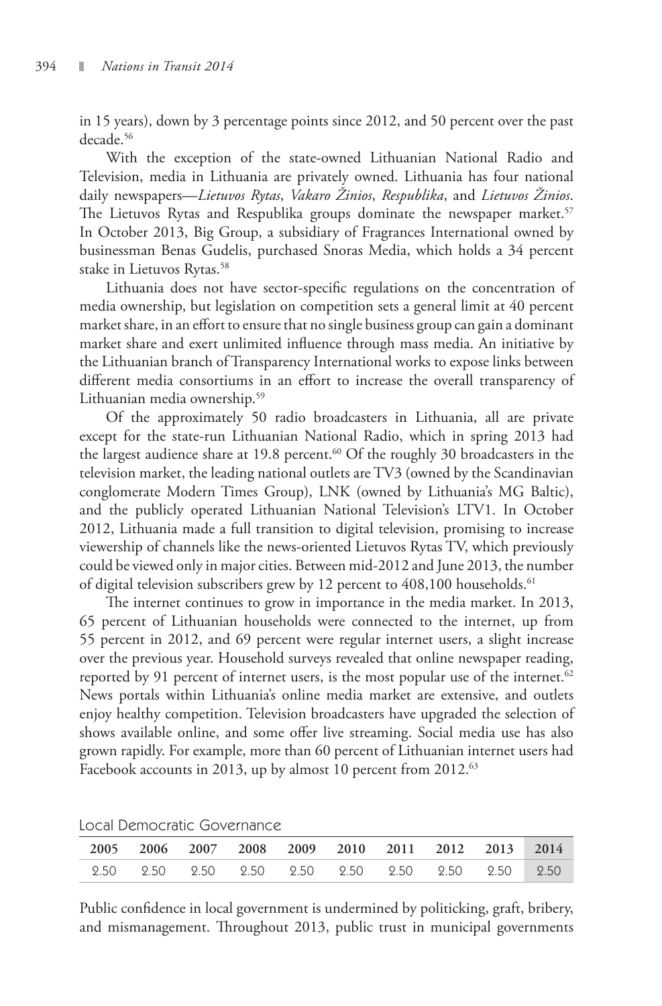in 15 years), down by 3 percentage points since 2012, and 50 percent over the past decade.56

With the exception of the state-owned Lithuanian National Radio and Television, media in Lithuania are privately owned. Lithuania has four national daily newspapers—*Lietuvos Rytas*, *Vakaro Žinios*, *Respublika*, and *Lietuvos Žinios*. The Lietuvos Rytas and Respublika groups dominate the newspaper market.<sup>57</sup> In October 2013, Big Group, a subsidiary of Fragrances International owned by businessman Benas Gudelis, purchased Snoras Media, which holds a 34 percent stake in Lietuvos Rytas.<sup>58</sup>

Lithuania does not have sector-specific regulations on the concentration of media ownership, but legislation on competition sets a general limit at 40 percent market share, in an effort to ensure that no single business group can gain a dominant market share and exert unlimited influence through mass media. An initiative by the Lithuanian branch of Transparency International works to expose links between different media consortiums in an effort to increase the overall transparency of Lithuanian media ownership.<sup>59</sup>

Of the approximately 50 radio broadcasters in Lithuania, all are private except for the state-run Lithuanian National Radio, which in spring 2013 had the largest audience share at 19.8 percent.<sup>60</sup> Of the roughly 30 broadcasters in the television market, the leading national outlets are TV3 (owned by the Scandinavian conglomerate Modern Times Group), LNK (owned by Lithuania's MG Baltic), and the publicly operated Lithuanian National Television's LTV1. In October 2012, Lithuania made a full transition to digital television, promising to increase viewership of channels like the news-oriented Lietuvos Rytas TV, which previously could be viewed only in major cities. Between mid-2012 and June 2013, the number of digital television subscribers grew by 12 percent to 408,100 households.<sup>61</sup>

The internet continues to grow in importance in the media market. In 2013, 65 percent of Lithuanian households were connected to the internet, up from 55 percent in 2012, and 69 percent were regular internet users, a slight increase over the previous year. Household surveys revealed that online newspaper reading, reported by 91 percent of internet users, is the most popular use of the internet. $62$ News portals within Lithuania's online media market are extensive, and outlets enjoy healthy competition. Television broadcasters have upgraded the selection of shows available online, and some offer live streaming. Social media use has also grown rapidly. For example, more than 60 percent of Lithuanian internet users had Facebook accounts in 2013, up by almost 10 percent from 2012.<sup>63</sup>

|  |  | 2005 2006 2007 2008 2009 2010 2011 2012 2013 2014 |  |  |  |
|--|--|---------------------------------------------------|--|--|--|
|  |  |                                                   |  |  |  |

Local Democratic Governance

Public confidence in local government is undermined by politicking, graft, bribery, and mismanagement. Throughout 2013, public trust in municipal governments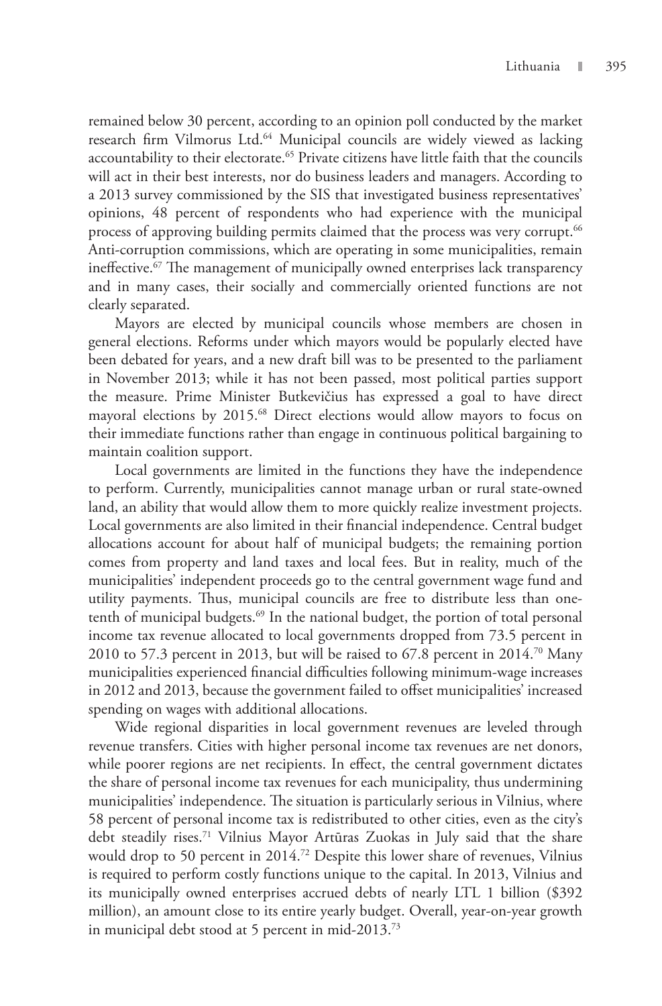remained below 30 percent, according to an opinion poll conducted by the market research firm Vilmorus Ltd.<sup>64</sup> Municipal councils are widely viewed as lacking accountability to their electorate.<sup>65</sup> Private citizens have little faith that the councils will act in their best interests, nor do business leaders and managers. According to a 2013 survey commissioned by the SIS that investigated business representatives' opinions, 48 percent of respondents who had experience with the municipal process of approving building permits claimed that the process was very corrupt.<sup>66</sup> Anti-corruption commissions, which are operating in some municipalities, remain ineffective.<sup>67</sup> The management of municipally owned enterprises lack transparency and in many cases, their socially and commercially oriented functions are not clearly separated.

Mayors are elected by municipal councils whose members are chosen in general elections. Reforms under which mayors would be popularly elected have been debated for years, and a new draft bill was to be presented to the parliament in November 2013; while it has not been passed, most political parties support the measure. Prime Minister Butkevičius has expressed a goal to have direct mayoral elections by 2015.<sup>68</sup> Direct elections would allow mayors to focus on their immediate functions rather than engage in continuous political bargaining to maintain coalition support.

Local governments are limited in the functions they have the independence to perform. Currently, municipalities cannot manage urban or rural state-owned land, an ability that would allow them to more quickly realize investment projects. Local governments are also limited in their financial independence. Central budget allocations account for about half of municipal budgets; the remaining portion comes from property and land taxes and local fees. But in reality, much of the municipalities' independent proceeds go to the central government wage fund and utility payments. Thus, municipal councils are free to distribute less than onetenth of municipal budgets.<sup>69</sup> In the national budget, the portion of total personal income tax revenue allocated to local governments dropped from 73.5 percent in 2010 to 57.3 percent in 2013, but will be raised to 67.8 percent in 2014.<sup>70</sup> Many municipalities experienced financial difficulties following minimum-wage increases in 2012 and 2013, because the government failed to offset municipalities' increased spending on wages with additional allocations.

Wide regional disparities in local government revenues are leveled through revenue transfers. Cities with higher personal income tax revenues are net donors, while poorer regions are net recipients. In effect, the central government dictates the share of personal income tax revenues for each municipality, thus undermining municipalities' independence. The situation is particularly serious in Vilnius, where 58 percent of personal income tax is redistributed to other cities, even as the city's debt steadily rises.<sup>71</sup> Vilnius Mayor Artūras Zuokas in July said that the share would drop to 50 percent in 2014.72 Despite this lower share of revenues, Vilnius is required to perform costly functions unique to the capital. In 2013, Vilnius and its municipally owned enterprises accrued debts of nearly LTL 1 billion (\$392 million), an amount close to its entire yearly budget. Overall, year-on-year growth in municipal debt stood at 5 percent in mid-2013.73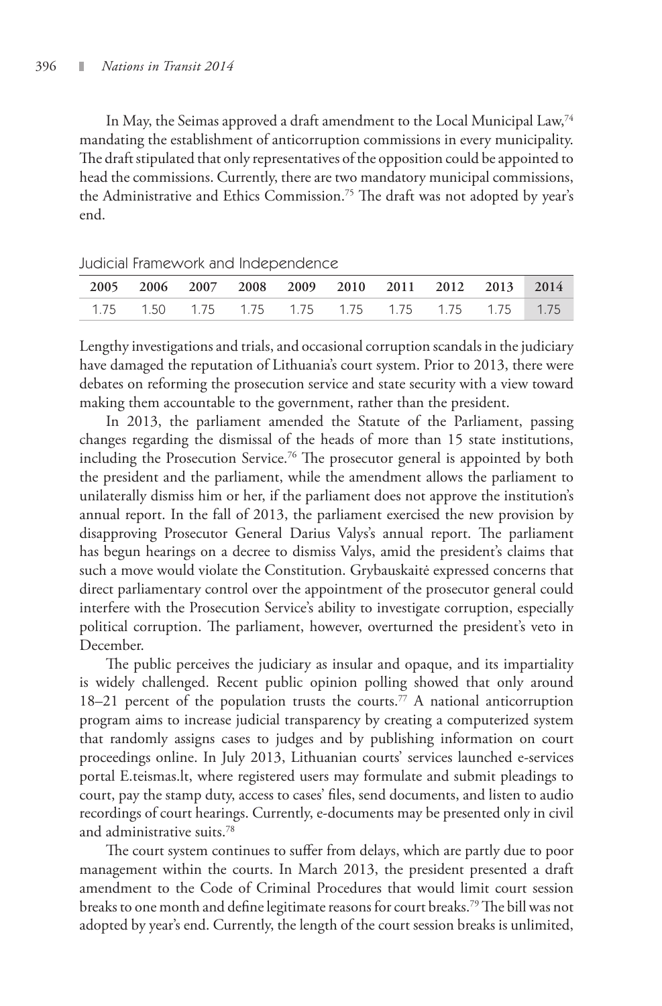In May, the Seimas approved a draft amendment to the Local Municipal Law,74 mandating the establishment of anticorruption commissions in every municipality. The draft stipulated that only representatives of the opposition could be appointed to head the commissions. Currently, there are two mandatory municipal commissions, the Administrative and Ethics Commission.75 The draft was not adopted by year's end.

| 2005 2006 2007 2008 2009 2010 2011 2012 2013 2014            |  |  |  |  |
|--------------------------------------------------------------|--|--|--|--|
| 1.75   1.50   1.75   1.75   1.75   1.75   1.75   1.75   1.75 |  |  |  |  |

Judicial Framework and Independence

Lengthy investigations and trials, and occasional corruption scandals in the judiciary have damaged the reputation of Lithuania's court system. Prior to 2013, there were debates on reforming the prosecution service and state security with a view toward making them accountable to the government, rather than the president.

In 2013, the parliament amended the Statute of the Parliament, passing changes regarding the dismissal of the heads of more than 15 state institutions, including the Prosecution Service.<sup>76</sup> The prosecutor general is appointed by both the president and the parliament, while the amendment allows the parliament to unilaterally dismiss him or her, if the parliament does not approve the institution's annual report. In the fall of 2013, the parliament exercised the new provision by disapproving Prosecutor General Darius Valys's annual report. The parliament has begun hearings on a decree to dismiss Valys, amid the president's claims that such a move would violate the Constitution. Grybauskaitė expressed concerns that direct parliamentary control over the appointment of the prosecutor general could interfere with the Prosecution Service's ability to investigate corruption, especially political corruption. The parliament, however, overturned the president's veto in December.

The public perceives the judiciary as insular and opaque, and its impartiality is widely challenged. Recent public opinion polling showed that only around 18–21 percent of the population trusts the courts.<sup>77</sup> A national anticorruption program aims to increase judicial transparency by creating a computerized system that randomly assigns cases to judges and by publishing information on court proceedings online. In July 2013, Lithuanian courts' services launched e-services portal E.teismas.lt, where registered users may formulate and submit pleadings to court, pay the stamp duty, access to cases' files, send documents, and listen to audio recordings of court hearings. Currently, e-documents may be presented only in civil and administrative suits.78

The court system continues to suffer from delays, which are partly due to poor management within the courts. In March 2013, the president presented a draft amendment to the Code of Criminal Procedures that would limit court session breaks to one month and define legitimate reasons for court breaks.<sup>79</sup> The bill was not adopted by year's end. Currently, the length of the court session breaks is unlimited,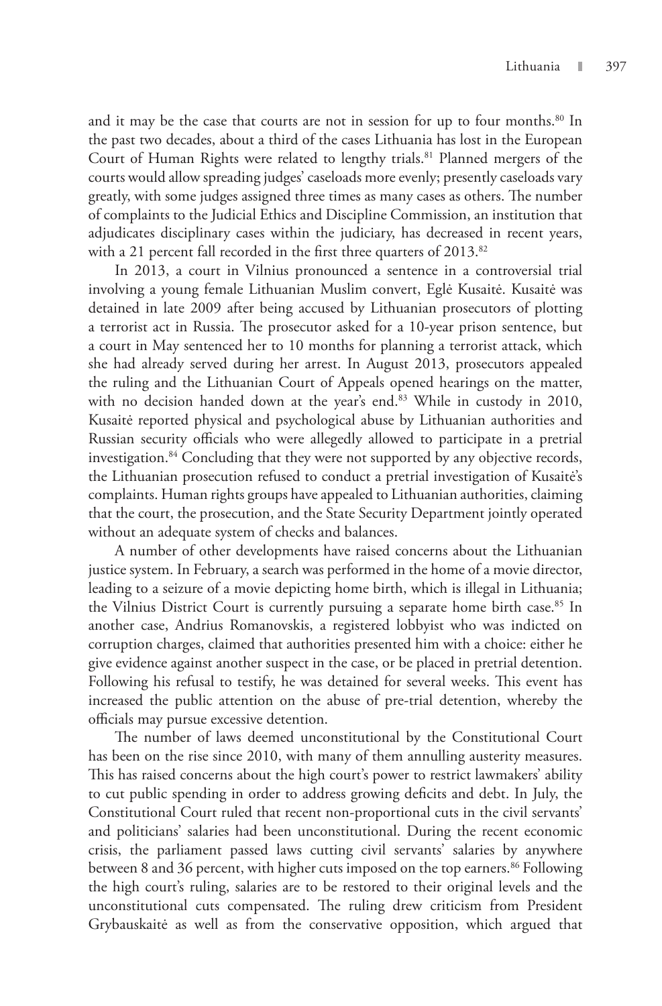and it may be the case that courts are not in session for up to four months.<sup>80</sup> In the past two decades, about a third of the cases Lithuania has lost in the European Court of Human Rights were related to lengthy trials.<sup>81</sup> Planned mergers of the courts would allow spreading judges' caseloads more evenly; presently caseloads vary greatly, with some judges assigned three times as many cases as others. The number of complaints to the Judicial Ethics and Discipline Commission, an institution that adjudicates disciplinary cases within the judiciary, has decreased in recent years, with a 21 percent fall recorded in the first three quarters of 2013.<sup>82</sup>

In 2013, a court in Vilnius pronounced a sentence in a controversial trial involving a young female Lithuanian Muslim convert, Eglė Kusaitė. Kusaitė was detained in late 2009 after being accused by Lithuanian prosecutors of plotting a terrorist act in Russia. The prosecutor asked for a 10-year prison sentence, but a court in May sentenced her to 10 months for planning a terrorist attack, which she had already served during her arrest. In August 2013, prosecutors appealed the ruling and the Lithuanian Court of Appeals opened hearings on the matter, with no decision handed down at the year's end.<sup>83</sup> While in custody in 2010, Kusaitė reported physical and psychological abuse by Lithuanian authorities and Russian security officials who were allegedly allowed to participate in a pretrial investigation.<sup>84</sup> Concluding that they were not supported by any objective records, the Lithuanian prosecution refused to conduct a pretrial investigation of Kusaitė's complaints. Human rights groups have appealed to Lithuanian authorities, claiming that the court, the prosecution, and the State Security Department jointly operated without an adequate system of checks and balances.

A number of other developments have raised concerns about the Lithuanian justice system. In February, a search was performed in the home of a movie director, leading to a seizure of a movie depicting home birth, which is illegal in Lithuania; the Vilnius District Court is currently pursuing a separate home birth case.<sup>85</sup> In another case, Andrius Romanovskis, a registered lobbyist who was indicted on corruption charges, claimed that authorities presented him with a choice: either he give evidence against another suspect in the case, or be placed in pretrial detention. Following his refusal to testify, he was detained for several weeks. This event has increased the public attention on the abuse of pre-trial detention, whereby the officials may pursue excessive detention.

The number of laws deemed unconstitutional by the Constitutional Court has been on the rise since 2010, with many of them annulling austerity measures. This has raised concerns about the high court's power to restrict lawmakers' ability to cut public spending in order to address growing deficits and debt. In July, the Constitutional Court ruled that recent non-proportional cuts in the civil servants' and politicians' salaries had been unconstitutional. During the recent economic crisis, the parliament passed laws cutting civil servants' salaries by anywhere between 8 and 36 percent, with higher cuts imposed on the top earners.<sup>86</sup> Following the high court's ruling, salaries are to be restored to their original levels and the unconstitutional cuts compensated. The ruling drew criticism from President Grybauskaitė as well as from the conservative opposition, which argued that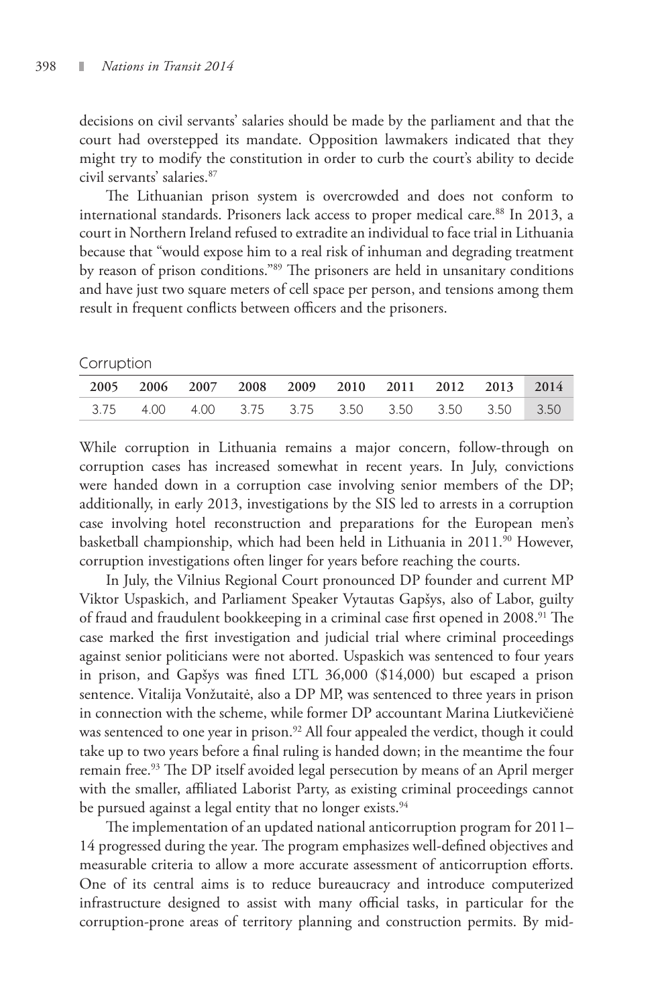decisions on civil servants' salaries should be made by the parliament and that the court had overstepped its mandate. Opposition lawmakers indicated that they might try to modify the constitution in order to curb the court's ability to decide civil servants' salaries.87

The Lithuanian prison system is overcrowded and does not conform to international standards. Prisoners lack access to proper medical care.<sup>88</sup> In 2013, a court in Northern Ireland refused to extradite an individual to face trial in Lithuania because that "would expose him to a real risk of inhuman and degrading treatment by reason of prison conditions."<sup>89</sup> The prisoners are held in unsanitary conditions and have just two square meters of cell space per person, and tensions among them result in frequent conflicts between officers and the prisoners.

#### Corruption

|  |  |  | 2005 2006 2007 2008 2009 2010 2011 2012 2013 2014 |  |
|--|--|--|---------------------------------------------------|--|
|  |  |  | 3.75 4.00 4.00 3.75 3.75 3.50 3.50 3.50 3.50 3.50 |  |

While corruption in Lithuania remains a major concern, follow-through on corruption cases has increased somewhat in recent years. In July, convictions were handed down in a corruption case involving senior members of the DP; additionally, in early 2013, investigations by the SIS led to arrests in a corruption case involving hotel reconstruction and preparations for the European men's basketball championship, which had been held in Lithuania in 2011.<sup>90</sup> However, corruption investigations often linger for years before reaching the courts.

In July, the Vilnius Regional Court pronounced DP founder and current MP Viktor Uspaskich, and Parliament Speaker Vytautas Gapšys, also of Labor, guilty of fraud and fraudulent bookkeeping in a criminal case first opened in 2008.<sup>91</sup> The case marked the first investigation and judicial trial where criminal proceedings against senior politicians were not aborted. Uspaskich was sentenced to four years in prison, and Gapšys was fined LTL 36,000 (\$14,000) but escaped a prison sentence. Vitalija Vonžutaitė, also a DP MP, was sentenced to three years in prison in connection with the scheme, while former DP accountant Marina Liutkevičienė was sentenced to one year in prison.<sup>92</sup> All four appealed the verdict, though it could take up to two years before a final ruling is handed down; in the meantime the four remain free.<sup>93</sup> The DP itself avoided legal persecution by means of an April merger with the smaller, affiliated Laborist Party, as existing criminal proceedings cannot be pursued against a legal entity that no longer exists.<sup>94</sup>

The implementation of an updated national anticorruption program for 2011– 14 progressed during the year. The program emphasizes well-defined objectives and measurable criteria to allow a more accurate assessment of anticorruption efforts. One of its central aims is to reduce bureaucracy and introduce computerized infrastructure designed to assist with many official tasks, in particular for the corruption-prone areas of territory planning and construction permits. By mid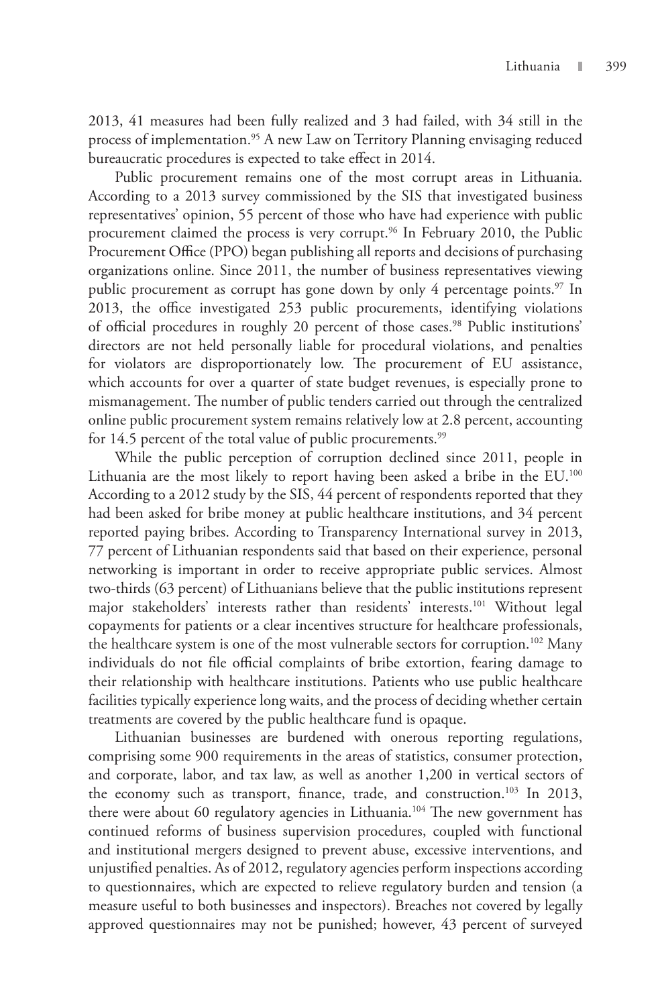2013, 41 measures had been fully realized and 3 had failed, with 34 still in the process of implementation.<sup>95</sup> A new Law on Territory Planning envisaging reduced bureaucratic procedures is expected to take effect in 2014.

Public procurement remains one of the most corrupt areas in Lithuania. According to a 2013 survey commissioned by the SIS that investigated business representatives' opinion, 55 percent of those who have had experience with public procurement claimed the process is very corrupt.<sup>96</sup> In February 2010, the Public Procurement Office (PPO) began publishing all reports and decisions of purchasing organizations online. Since 2011, the number of business representatives viewing public procurement as corrupt has gone down by only 4 percentage points. $97$  In 2013, the office investigated 253 public procurements, identifying violations of official procedures in roughly 20 percent of those cases.<sup>98</sup> Public institutions' directors are not held personally liable for procedural violations, and penalties for violators are disproportionately low. The procurement of EU assistance, which accounts for over a quarter of state budget revenues, is especially prone to mismanagement. The number of public tenders carried out through the centralized online public procurement system remains relatively low at 2.8 percent, accounting for 14.5 percent of the total value of public procurements.<sup>99</sup>

While the public perception of corruption declined since 2011, people in Lithuania are the most likely to report having been asked a bribe in the EU.<sup>100</sup> According to a 2012 study by the SIS, 44 percent of respondents reported that they had been asked for bribe money at public healthcare institutions, and 34 percent reported paying bribes. According to Transparency International survey in 2013, 77 percent of Lithuanian respondents said that based on their experience, personal networking is important in order to receive appropriate public services. Almost two-thirds (63 percent) of Lithuanians believe that the public institutions represent major stakeholders' interests rather than residents' interests.<sup>101</sup> Without legal copayments for patients or a clear incentives structure for healthcare professionals, the healthcare system is one of the most vulnerable sectors for corruption.<sup>102</sup> Many individuals do not file official complaints of bribe extortion, fearing damage to their relationship with healthcare institutions. Patients who use public healthcare facilities typically experience long waits, and the process of deciding whether certain treatments are covered by the public healthcare fund is opaque.

Lithuanian businesses are burdened with onerous reporting regulations, comprising some 900 requirements in the areas of statistics, consumer protection, and corporate, labor, and tax law, as well as another 1,200 in vertical sectors of the economy such as transport, finance, trade, and construction.<sup>103</sup> In 2013, there were about 60 regulatory agencies in Lithuania.<sup>104</sup> The new government has continued reforms of business supervision procedures, coupled with functional and institutional mergers designed to prevent abuse, excessive interventions, and unjustified penalties. As of 2012, regulatory agencies perform inspections according to questionnaires, which are expected to relieve regulatory burden and tension (a measure useful to both businesses and inspectors). Breaches not covered by legally approved questionnaires may not be punished; however, 43 percent of surveyed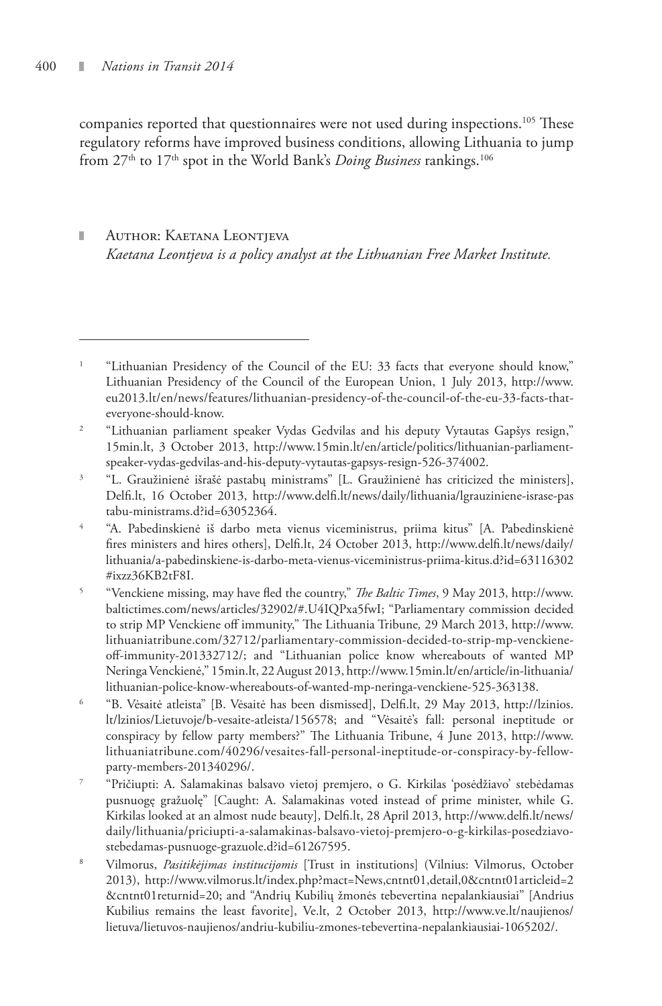companies reported that questionnaires were not used during inspections.<sup>105</sup> These regulatory reforms have improved business conditions, allowing Lithuania to jump from 27<sup>th</sup> to 17<sup>th</sup> spot in the World Bank's *Doing Business* rankings.<sup>106</sup>

### Author: Kaetana Leontjeva *Kaetana Leontjeva is a policy analyst at the Lithuanian Free Market Institute.*

- 5 "Venckiene missing, may have fled the country," *The Baltic Times*, 9 May 2013, http://www. baltictimes.com/news/articles/32902/#.U4IQPxa5fwI; "Parliamentary commission decided to strip MP Venckiene off immunity," The Lithuania Tribune*,* 29 March 2013, http://www. lithuaniatribune.com/32712/parliamentary-commission-decided-to-strip-mp-venckieneoff-immunity-201332712/; and "Lithuanian police know whereabouts of wanted MP Neringa Venckienė," 15min.lt, 22 August 2013, http://www.15min.lt/en/article/in-lithuania/ lithuanian-police-know-whereabouts-of-wanted-mp-neringa-venckiene-525-363138.
- 6 "B. Vėsaitė atleista" [B. Vėsaitė has been dismissed], Delfi.lt, 29 May 2013, http://lzinios. lt/lzinios/Lietuvoje/b-vesaite-atleista/156578; and "Vėsaitė's fall: personal ineptitude or conspiracy by fellow party members?" The Lithuania Tribune, 4 June 2013, http://www. lithuaniatribune.com/40296/vesaites-fall-personal-ineptitude-or-conspiracy-by-fellowparty-members-201340296/.
- 7 "Pričiupti: A. Salamakinas balsavo vietoj premjero, o G. Kirkilas 'posėdžiavo' stebėdamas pusnuogę gražuolę" [Caught: A. Salamakinas voted instead of prime minister, while G. Kirkilas looked at an almost nude beauty], Delfi.lt, 28 April 2013, http://www.delfi.lt/news/ daily/lithuania/priciupti-a-salamakinas-balsavo-vietoj-premjero-o-g-kirkilas-posedziavostebedamas-pusnuoge-grazuole.d?id=61267595.
- 8 Vilmorus, *Pasitikėjimas institucijomis* [Trust in institutions] (Vilnius: Vilmorus, October 2013), http://www.vilmorus.lt/index.php?mact=News,cntnt01,detail,0&cntnt01articleid=2 &cntnt01returnid=20; and "Andrių Kubilių žmonės tebevertina nepalankiausiai" [Andrius Kubilius remains the least favorite], Ve.lt, 2 October 2013, http://www.ve.lt/naujienos/ lietuva/lietuvos-naujienos/andriu-kubiliu-zmones-tebevertina-nepalankiausiai-1065202/.

<sup>1</sup> "Lithuanian Presidency of the Council of the EU: 33 facts that everyone should know," Lithuanian Presidency of the Council of the European Union, 1 July 2013, http://www. eu2013.lt/en/news/features/lithuanian-presidency-of-the-council-of-the-eu-33-facts-thateveryone-should-know.

<sup>2</sup> "Lithuanian parliament speaker Vydas Gedvilas and his deputy Vytautas Gapšys resign," 15min.lt, 3 October 2013, http://www.15min.lt/en/article/politics/lithuanian-parliamentspeaker-vydas-gedvilas-and-his-deputy-vytautas-gapsys-resign-526-374002.

<sup>3</sup> "L. Graužinienė išrašė pastabų ministrams" [L. Graužinienė has criticized the ministers], Delfi.lt, 16 October 2013, http://www.delfi.lt/news/daily/lithuania/lgrauziniene-israse-pas tabu-ministrams.d?id=63052364.

<sup>4</sup> "A. Pabedinskienė iš darbo meta vienus viceministrus, priima kitus" [A. Pabedinskienė fires ministers and hires others], Delfi.lt, 24 October 2013, http://www.delfi.lt/news/daily/ lithuania/a-pabedinskiene-is-darbo-meta-vienus-viceministrus-priima-kitus.d?id=63116302 #ixzz36KB2tF8I.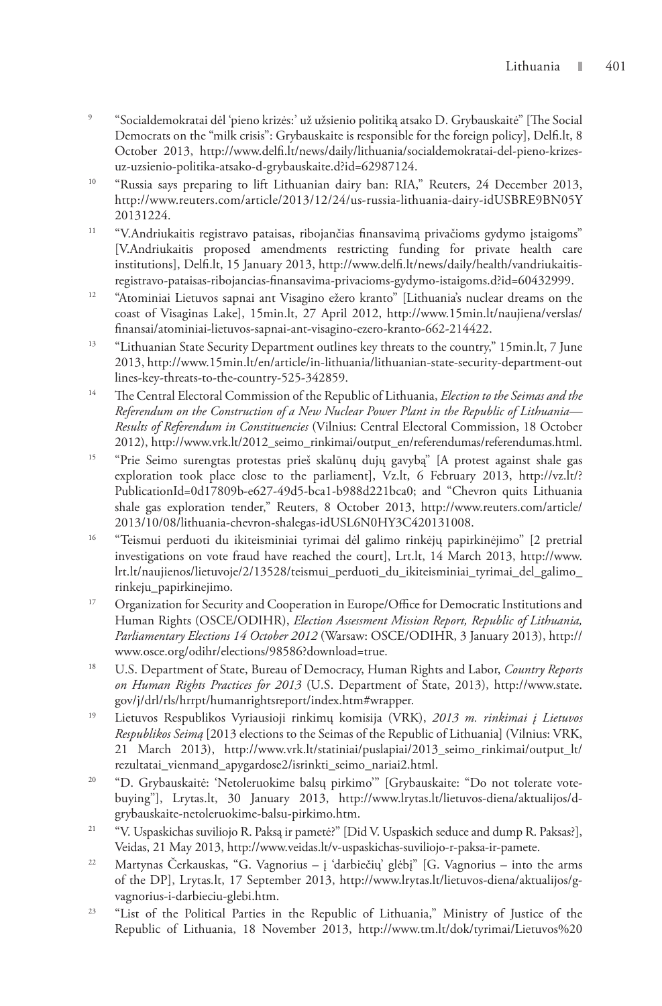- 9 "Socialdemokratai dėl 'pieno krizės:' už užsienio politiką atsako D. Grybauskaitė" [The Social Democrats on the "milk crisis": Grybauskaite is responsible for the foreign policy], Delfi.lt, 8 October 2013, http://www.delfi.lt/news/daily/lithuania/socialdemokratai-del-pieno-krizesuz-uzsienio-politika-atsako-d-grybauskaite.d?id=62987124.
- <sup>10</sup> "Russia says preparing to lift Lithuanian dairy ban: RIA," Reuters, 24 December 2013, http://www.reuters.com/article/2013/12/24/us-russia-lithuania-dairy-idUSBRE9BN05Y 20131224.
- 11 "V.Andriukaitis registravo pataisas, ribojančias finansavimą privačioms gydymo įstaigoms" [V.Andriukaitis proposed amendments restricting funding for private health care institutions], Delfi.lt, 15 January 2013, http://www.delfi.lt/news/daily/health/vandriukaitisregistravo-pataisas-ribojancias-finansavima-privacioms-gydymo-istaigoms.d?id=60432999.
- <sup>12</sup> "Atominiai Lietuvos sapnai ant Visagino ežero kranto" [Lithuania's nuclear dreams on the coast of Visaginas Lake], 15min.lt, 27 April 2012, http://www.15min.lt/naujiena/verslas/ finansai/atominiai-lietuvos-sapnai-ant-visagino-ezero-kranto-662-214422.
- <sup>13</sup> "Lithuanian State Security Department outlines key threats to the country," 15min.lt, 7 June 2013, http://www.15min.lt/en/article/in-lithuania/lithuanian-state-security-department-out lines-key-threats-to-the-country-525-342859.
- 14 The Central Electoral Commission of the Republic of Lithuania, *Election to the Seimas and the Referendum on the Construction of a New Nuclear Power Plant in the Republic of Lithuania— Results of Referendum in Constituencies* (Vilnius: Central Electoral Commission, 18 October 2012), http://www.vrk.lt/2012\_seimo\_rinkimai/output\_en/referendumas/referendumas.html.
- <sup>15</sup> "Prie Seimo surengtas protestas prieš skalūnų dujų gavybą" [A protest against shale gas exploration took place close to the parliament], Vz.lt, 6 February 2013, http://vz.lt/? PublicationId=0d17809b-e627-49d5-bca1-b988d221bca0; and "Chevron quits Lithuania shale gas exploration tender," Reuters, 8 October 2013, http://www.reuters.com/article/ 2013/10/08/lithuania-chevron-shalegas-idUSL6N0HY3C420131008.
- <sup>16</sup> "Teismui perduoti du ikiteisminiai tyrimai dėl galimo rinkėjų papirkinėjimo" [2 pretrial investigations on vote fraud have reached the court], Lrt.lt, 14 March 2013, http://www. lrt.lt/naujienos/lietuvoje/2/13528/teismui\_perduoti\_du\_ikiteisminiai\_tyrimai\_del\_galimo\_ rinkeju\_papirkinejimo.
- <sup>17</sup> Organization for Security and Cooperation in Europe/Office for Democratic Institutions and Human Rights (OSCE/ODIHR), *Election Assessment Mission Report, Republic of Lithuania, Parliamentary Elections 14 October 2012* (Warsaw: OSCE/ODIHR, 3 January 2013), http:// www.osce.org/odihr/elections/98586?download=true.
- 18 U.S. Department of State, Bureau of Democracy, Human Rights and Labor, *Country Reports on Human Rights Practices for 2013* (U.S. Department of State, 2013), http://www.state. gov/j/drl/rls/hrrpt/humanrightsreport/index.htm#wrapper.
- 19 Lietuvos Respublikos Vyriausioji rinkimų komisija (VRK), *2013 m. rinkimai į Lietuvos Respublikos Seimą* [2013 elections to the Seimas of the Republic of Lithuania] (Vilnius: VRK, 21 March 2013), http://www.vrk.lt/statiniai/puslapiai/2013\_seimo\_rinkimai/output\_lt/ rezultatai\_vienmand\_apygardose2/isrinkti\_seimo\_nariai2.html.
- <sup>20</sup> "D. Grybauskaitė: 'Netoleruokime balsų pirkimo'" [Grybauskaite: "Do not tolerate votebuying"], Lrytas.lt, 30 January 2013, http://www.lrytas.lt/lietuvos-diena/aktualijos/dgrybauskaite-netoleruokime-balsu-pirkimo.htm.
- 21 "V. Uspaskichas suviliojo R. Paksą ir pametė?" [Did V. Uspaskich seduce and dump R. Paksas?], Veidas, 21 May 2013, http://www.veidas.lt/v-uspaskichas-suviliojo-r-paksa-ir-pamete.
- 22 Martynas Čerkauskas, "G. Vagnorius į 'darbiečių' glėbį" [G. Vagnorius into the arms of the DP], Lrytas*.*lt, 17 September 2013, http://www.lrytas.lt/lietuvos-diena/aktualijos/gvagnorius-i-darbieciu-glebi.htm.
- <sup>23</sup> "List of the Political Parties in the Republic of Lithuania," Ministry of Justice of the Republic of Lithuania, 18 November 2013, http://www.tm.lt/dok/tyrimai/Lietuvos%20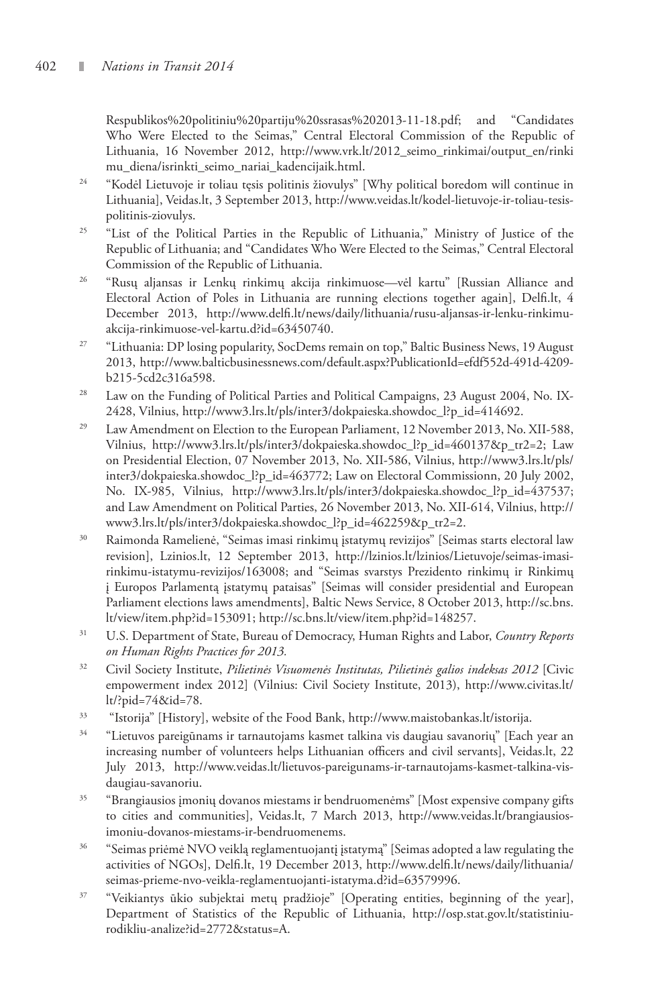Respublikos%20politiniu%20partiju%20ssrasas%202013-11-18.pdf; and "Candidates Who Were Elected to the Seimas," Central Electoral Commission of the Republic of Lithuania, 16 November 2012, http://www.vrk.lt/2012\_seimo\_rinkimai/output\_en/rinki mu\_diena/isrinkti\_seimo\_nariai\_kadencijaik.html.

- <sup>24</sup> "Kodėl Lietuvoje ir toliau tęsis politinis žiovulys" [Why political boredom will continue in Lithuania], Veidas.lt, 3 September 2013, http://www.veidas.lt/kodel-lietuvoje-ir-toliau-tesispolitinis-ziovulys.
- <sup>25</sup> "List of the Political Parties in the Republic of Lithuania," Ministry of Justice of the Republic of Lithuania; and "Candidates Who Were Elected to the Seimas," Central Electoral Commission of the Republic of Lithuania.
- 26 "Rusų aljansas ir Lenkų rinkimų akcija rinkimuose—vėl kartu" [Russian Alliance and Electoral Action of Poles in Lithuania are running elections together again], Delfi.lt, 4 December 2013, http://www.delfi.lt/news/daily/lithuania/rusu-aljansas-ir-lenku-rinkimuakcija-rinkimuose-vel-kartu.d?id=63450740.
- <sup>27</sup> "Lithuania: DP losing popularity, SocDems remain on top," Baltic Business News, 19 August 2013, http://www.balticbusinessnews.com/default.aspx?PublicationId=efdf552d-491d-4209 b215-5cd2c316a598.
- <sup>28</sup> Law on the Funding of Political Parties and Political Campaigns, 23 August 2004, No. IX-2428, Vilnius, http://www3.lrs.lt/pls/inter3/dokpaieska.showdoc\_l?p\_id=414692.
- $29$  Law Amendment on Election to the European Parliament, 12 November 2013, No. XII-588, Vilnius, http://www3.lrs.lt/pls/inter3/dokpaieska.showdoc\_l?p\_id=460137&p\_tr2=2; Law on Presidential Election, 07 November 2013, No. XII-586, Vilnius, http://www3.lrs.lt/pls/ inter3/dokpaieska.showdoc\_l?p\_id=463772; Law on Electoral Commissionn, 20 July 2002, No. IX-985, Vilnius, http://www3.lrs.lt/pls/inter3/dokpaieska.showdoc\_l?p\_id=437537; and Law Amendment on Political Parties, 26 November 2013, No. XII-614, Vilnius, http:// www3.lrs.lt/pls/inter3/dokpaieska.showdoc\_l?p\_id=462259&p\_tr2=2.
- 30 Raimonda Ramelienė, "Seimas imasi rinkimų įstatymų revizijos" [Seimas starts electoral law revision], Lzinios.lt, 12 September 2013, http://lzinios.lt/lzinios/Lietuvoje/seimas-imasirinkimu-istatymu-revizijos/163008; and "Seimas svarstys Prezidento rinkimų ir Rinkimų į Europos Parlamentą įstatymų pataisas" [Seimas will consider presidential and European Parliament elections laws amendments], Baltic News Service, 8 October 2013, http://sc.bns. lt/view/item.php?id=153091; http://sc.bns.lt/view/item.php?id=148257.
- 31 U.S. Department of State, Bureau of Democracy, Human Rights and Labor, *Country Reports on Human Rights Practices for 2013.*
- 32 Civil Society Institute, *Pilietinės Visuomenės Institutas, Pilietinės galios indeksas 2012* [Civic empowerment index 2012] (Vilnius: Civil Society Institute, 2013), http://www.civitas.lt/ lt/?pid=74&id=78.
- 33 "Istorija" [History], website of the Food Bank, http://www.maistobankas.lt/istorija.
- 34 "Lietuvos pareigūnams ir tarnautojams kasmet talkina vis daugiau savanorių" [Each year an increasing number of volunteers helps Lithuanian officers and civil servants], Veidas.lt, 22 July 2013, http://www.veidas.lt/lietuvos-pareigunams-ir-tarnautojams-kasmet-talkina-visdaugiau-savanoriu.
- <sup>35</sup> "Brangiausios įmonių dovanos miestams ir bendruomenėms" [Most expensive company gifts to cities and communities], Veidas.lt, 7 March 2013, http://www.veidas.lt/brangiausiosimoniu-dovanos-miestams-ir-bendruomenems.
- 36 "Seimas priėmė NVO veiklą reglamentuojantį įstatymą" [Seimas adopted a law regulating the activities of NGOs], Delfi.lt, 19 December 2013, http://www.delfi.lt/news/daily/lithuania/ seimas-prieme-nvo-veikla-reglamentuojanti-istatyma.d?id=63579996.
- 37 "Veikiantys ūkio subjektai metų pradžioje" [Operating entities, beginning of the year], Department of Statistics of the Republic of Lithuania, http://osp.stat.gov.lt/statistiniurodikliu-analize?id=2772&status=A.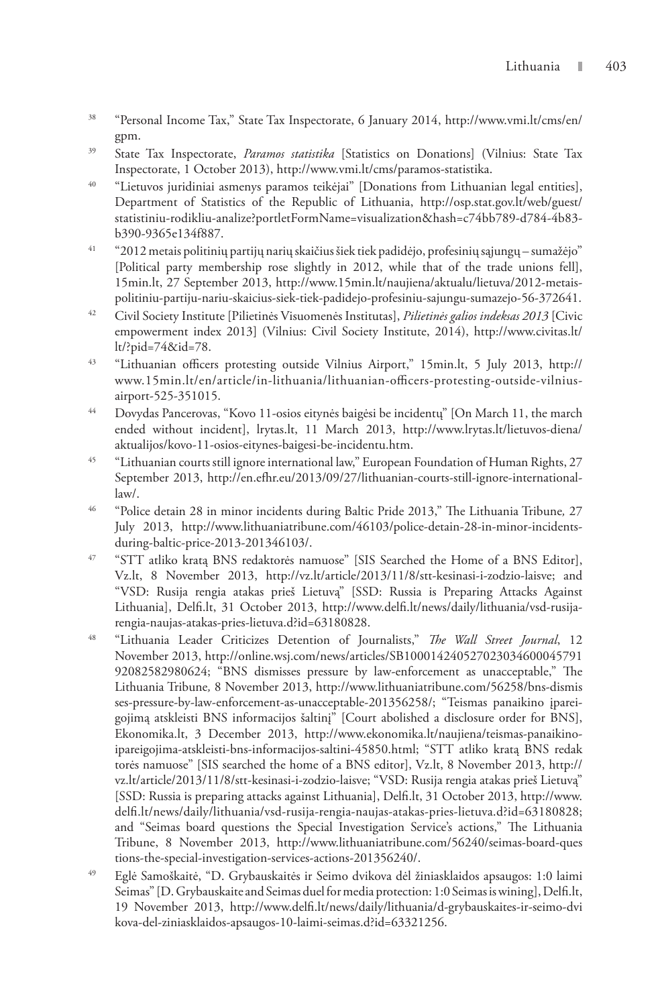- 38 "Personal Income Tax," State Tax Inspectorate, 6 January 2014, http://www.vmi.lt/cms/en/ gpm.
- 39 State Tax Inspectorate, *Paramos statistika* [Statistics on Donations] (Vilnius: State Tax Inspectorate, 1 October 2013), http://www.vmi.lt/cms/paramos-statistika.
- <sup>40</sup> "Lietuvos juridiniai asmenys paramos teikėjai" [Donations from Lithuanian legal entities], Department of Statistics of the Republic of Lithuania, http://osp.stat.gov.lt/web/guest/ statistiniu-rodikliu-analize?portletFormName=visualization&hash=c74bb789-d784-4b83 b390-9365e134f887.
- 41 "2012 metais politinių partijų narių skaičius šiek tiek padidėjo, profesinių sąjungų sumažėjo" [Political party membership rose slightly in 2012, while that of the trade unions fell], 15min.lt, 27 September 2013, http://www.15min.lt/naujiena/aktualu/lietuva/2012-metaispolitiniu-partiju-nariu-skaicius-siek-tiek-padidejo-profesiniu-sajungu-sumazejo-56-372641.
- 42 Civil Society Institute [Pilietinės Visuomenės Institutas], *Pilietinės galios indeksas 2013* [Civic empowerment index 2013] (Vilnius: Civil Society Institute, 2014), http://www.civitas.lt/ lt/?pid=74&id=78.
- 43 "Lithuanian officers protesting outside Vilnius Airport," 15min.lt, 5 July 2013, http:// www.15min.lt/en/article/in-lithuania/lithuanian-officers-protesting-outside-vilniusairport-525-351015.
- 44 Dovydas Pancerovas, "Kovo 11-osios eitynės baigėsi be incidentų" [On March 11, the march ended without incident], lrytas.lt, 11 March 2013, http://www.lrytas.lt/lietuvos-diena/ aktualijos/kovo-11-osios-eitynes-baigesi-be-incidentu.htm.
- <sup>45</sup> "Lithuanian courts still ignore international law," European Foundation of Human Rights, 27 September 2013, http://en.efhr.eu/2013/09/27/lithuanian-courts-still-ignore-internationallaw/.
- 46 "Police detain 28 in minor incidents during Baltic Pride 2013," The Lithuania Tribune*,* 27 July 2013, http://www.lithuaniatribune.com/46103/police-detain-28-in-minor-incidentsduring-baltic-price-2013-201346103/.
- 47 "STT atliko kratą BNS redaktorės namuose" [SIS Searched the Home of a BNS Editor], Vz.lt, 8 November 2013, http://vz.lt/article/2013/11/8/stt-kesinasi-i-zodzio-laisve; and "VSD: Rusija rengia atakas prieš Lietuvą" [SSD: Russia is Preparing Attacks Against Lithuania], Delfi.lt, 31 October 2013, http://www.delfi.lt/news/daily/lithuania/vsd-rusijarengia-naujas-atakas-pries-lietuva.d?id=63180828.
- 48 "Lithuania Leader Criticizes Detention of Journalists," *The Wall Street Journal*, 12 November 2013, http://online.wsj.com/news/articles/SB100014240527023034600045791 92082582980624; "BNS dismisses pressure by law-enforcement as unacceptable," The Lithuania Tribune*,* 8 November 2013, http://www.lithuaniatribune.com/56258/bns-dismis ses-pressure-by-law-enforcement-as-unacceptable-201356258/; "Teismas panaikino įpareigojimą atskleisti BNS informacijos šaltinį" [Court abolished a disclosure order for BNS], Ekonomika.lt, 3 December 2013, http://www.ekonomika.lt/naujiena/teismas-panaikinoipareigojima-atskleisti-bns-informacijos-saltini-45850.html; "STT atliko kratą BNS redak torės namuose" [SIS searched the home of a BNS editor], Vz.lt, 8 November 2013, http:// vz.lt/article/2013/11/8/stt-kesinasi-i-zodzio-laisve; "VSD: Rusija rengia atakas prieš Lietuvą" [SSD: Russia is preparing attacks against Lithuania], Delfi.lt, 31 October 2013, http://www. delfi.lt/news/daily/lithuania/vsd-rusija-rengia-naujas-atakas-pries-lietuva.d?id=63180828; and "Seimas board questions the Special Investigation Service's actions," The Lithuania Tribune, 8 November 2013, http://www.lithuaniatribune.com/56240/seimas-board-ques tions-the-special-investigation-services-actions-201356240/.
- 49 Eglė Samoškaitė, "D. Grybauskaitės ir Seimo dvikova dėl žiniasklaidos apsaugos: 1:0 laimi Seimas" [D. Grybauskaite and Seimas duel for media protection: 1:0 Seimas is wining], Delfi.lt, 19 November 2013, http://www.delfi.lt/news/daily/lithuania/d-grybauskaites-ir-seimo-dvi kova-del-ziniasklaidos-apsaugos-10-laimi-seimas.d?id=63321256.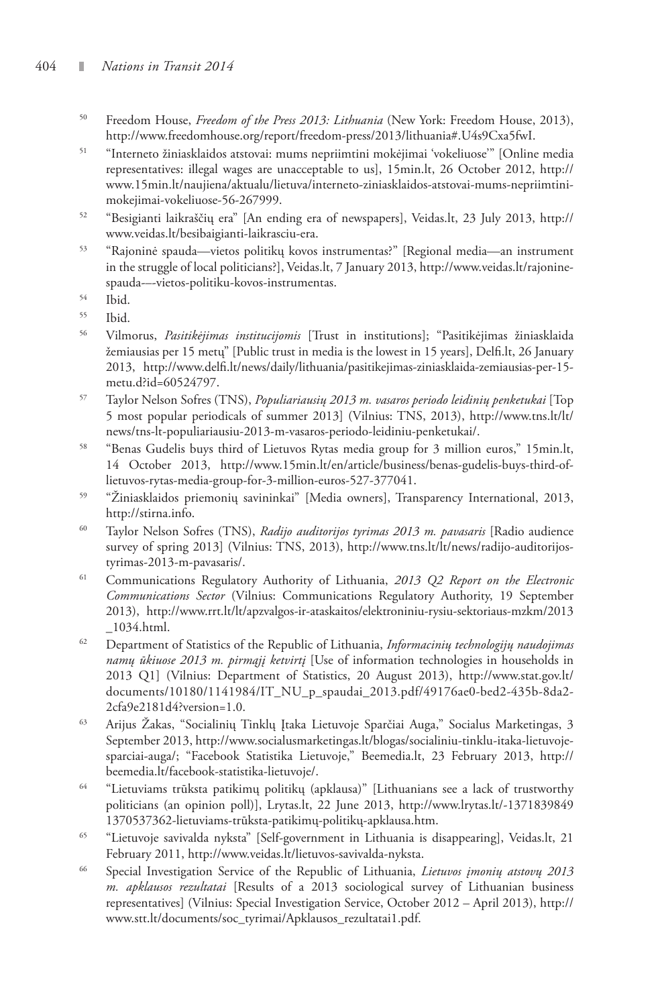- 50 Freedom House, *Freedom of the Press 2013: Lithuania* (New York: Freedom House, 2013), http://www.freedomhouse.org/report/freedom-press/2013/lithuania#.U4s9Cxa5fwI.
- 51 "Interneto žiniasklaidos atstovai: mums nepriimtini mokėjimai 'vokeliuose'" [Online media representatives: illegal wages are unacceptable to us], 15min.lt, 26 October 2012, http:// www.15min.lt/naujiena/aktualu/lietuva/interneto-ziniasklaidos-atstovai-mums-nepriimtinimokejimai-vokeliuose-56-267999.
- <sup>52</sup> "Besigianti laikraščių era" [An ending era of newspapers], Veidas.lt, 23 July 2013, http:// www.veidas.lt/besibaigianti-laikrasciu-era.
- 53 "Rajoninė spauda—vietos politikų kovos instrumentas?" [Regional media—an instrument in the struggle of local politicians?], Veidas.lt, 7 January 2013, http://www.veidas.lt/rajoninespauda-–-vietos-politiku-kovos-instrumentas.
- 54 Ibid.
- $\frac{55}{6}$  Ibid.
- 56 Vilmorus, *Pasitikėjimas institucijomis* [Trust in institutions]; "Pasitikėjimas žiniasklaida žemiausias per 15 metų" [Public trust in media is the lowest in 15 years], Delfi.lt, 26 January 2013, http://www.delfi.lt/news/daily/lithuania/pasitikejimas-ziniasklaida-zemiausias-per-15 metu.d?id=60524797.
- 57 Taylor Nelson Sofres (TNS), *Populiariausių 2013 m. vasaros periodo leidinių penketukai* [Top 5 most popular periodicals of summer 2013] (Vilnius: TNS, 2013), http://www.tns.lt/lt/ news/tns-lt-populiariausiu-2013-m-vasaros-periodo-leidiniu-penketukai/.
- 58 "Benas Gudelis buys third of Lietuvos Rytas media group for 3 million euros," 15min.lt, 14 October 2013, http://www.15min.lt/en/article/business/benas-gudelis-buys-third-oflietuvos-rytas-media-group-for-3-million-euros-527-377041.
- 59 "Žiniasklaidos priemonių savininkai" [Media owners], Transparency International, 2013, http://stirna.info.
- 60 Taylor Nelson Sofres (TNS), *Radijo auditorijos tyrimas 2013 m. pavasaris* [Radio audience survey of spring 2013] (Vilnius: TNS, 2013), http://www.tns.lt/lt/news/radijo-auditorijostyrimas-2013-m-pavasaris/.
- 61 Communications Regulatory Authority of Lithuania, *2013 Q2 Report on the Electronic Communications Sector* (Vilnius: Communications Regulatory Authority, 19 September 2013), http://www.rrt.lt/lt/apzvalgos-ir-ataskaitos/elektroniniu-rysiu-sektoriaus-mzkm/2013 \_1034.html.
- 62 Department of Statistics of the Republic of Lithuania, *Informacinių technologijų naudojimas namų ūkiuose 2013 m. pirmąjį ketvirtį* [Use of information technologies in households in 2013 Q1] (Vilnius: Department of Statistics, 20 August 2013), http://www.stat.gov.lt/ documents/10180/1141984/IT\_NU\_p\_spaudai\_2013.pdf/49176ae0-bed2-435b-8da2- 2cfa9e2181d4?version=1.0.
- 63 Arijus Žakas, "Socialinių Tinklų Įtaka Lietuvoje Sparčiai Auga," Socialus Marketingas, 3 September 2013, http://www.socialusmarketingas.lt/blogas/socialiniu-tinklu-itaka-lietuvojesparciai-auga/; "Facebook Statistika Lietuvoje," Beemedia.lt, 23 February 2013, http:// beemedia.lt/facebook-statistika-lietuvoje/.
- 64 "Lietuviams trūksta patikimų politikų (apklausa)" [Lithuanians see a lack of trustworthy politicians (an opinion poll)], Lrytas.lt, 22 June 2013, http://www.lrytas.lt/-1371839849 1370537362-lietuviams-trūksta-patikimų-politikų-apklausa.htm.
- 65 "Lietuvoje savivalda nyksta" [Self-government in Lithuania is disappearing], Veidas.lt, 21 February 2011, http://www.veidas.lt/lietuvos-savivalda-nyksta.
- 66 Special Investigation Service of the Republic of Lithuania, *Lietuvos įmonių atstovų 2013 m. apklausos rezultatai* [Results of a 2013 sociological survey of Lithuanian business representatives] (Vilnius: Special Investigation Service, October 2012 – April 2013), http:// www.stt.lt/documents/soc\_tyrimai/Apklausos\_rezultatai1.pdf.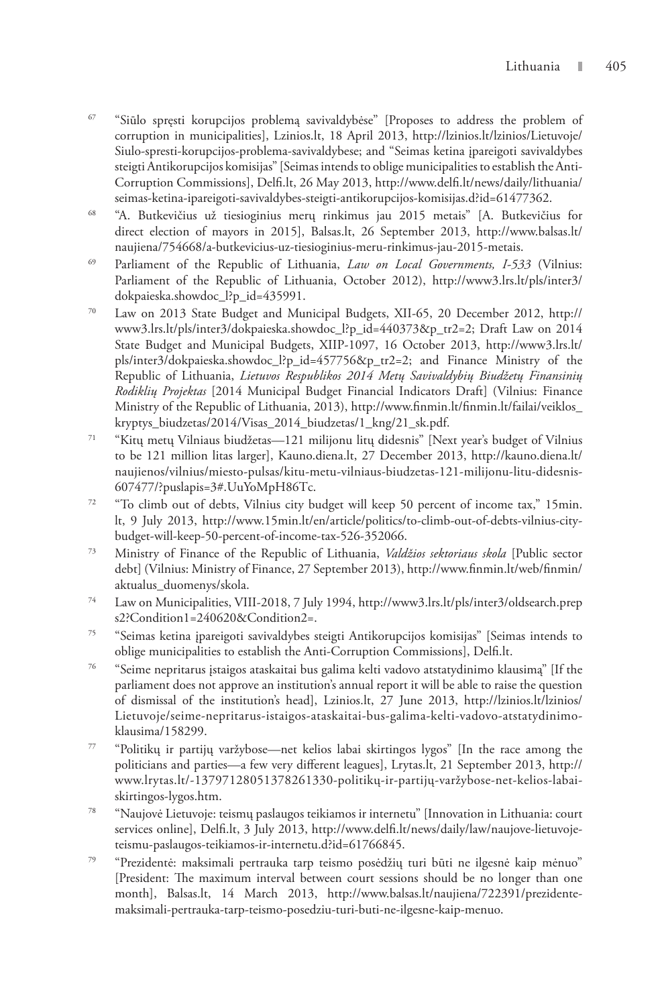- 67 "Siūlo spręsti korupcijos problemą savivaldybėse" [Proposes to address the problem of corruption in municipalities], Lzinios.lt, 18 April 2013, http://lzinios.lt/lzinios/Lietuvoje/ Siulo-spresti-korupcijos-problema-savivaldybese; and "Seimas ketina įpareigoti savivaldybes steigti Antikorupcijos komisijas" [Seimas intends to oblige municipalities to establish the Anti-Corruption Commissions], Delfi.lt, 26 May 2013, http://www.delfi.lt/news/daily/lithuania/ seimas-ketina-ipareigoti-savivaldybes-steigti-antikorupcijos-komisijas.d?id=61477362.
- 68 "A. Butkevičius už tiesioginius merų rinkimus jau 2015 metais" [A. Butkevičius for direct election of mayors in 2015], Balsas.lt, 26 September 2013, http://www.balsas.lt/ naujiena/754668/a-butkevicius-uz-tiesioginius-meru-rinkimus-jau-2015-metais.
- 69 Parliament of the Republic of Lithuania, *Law on Local Governments, I-533* (Vilnius: Parliament of the Republic of Lithuania, October 2012), http://www3.lrs.lt/pls/inter3/ dokpaieska.showdoc\_l?p\_id=435991.
- 70 Law on 2013 State Budget and Municipal Budgets, XII-65, 20 December 2012, http:// www3.lrs.lt/pls/inter3/dokpaieska.showdoc\_l?p\_id=440373&p\_tr2=2; Draft Law on 2014 State Budget and Municipal Budgets, XIIP-1097, 16 October 2013, http://www3.lrs.lt/ pls/inter3/dokpaieska.showdoc\_l?p\_id=457756&p\_tr2=2; and Finance Ministry of the Republic of Lithuania, *Lietuvos Respublikos 2014 Metų Savivaldybių Biudžetų Finansinių Rodiklių Projektas* [2014 Municipal Budget Financial Indicators Draft] (Vilnius: Finance Ministry of the Republic of Lithuania, 2013), http://www.finmin.lt/finmin.lt/failai/veiklos\_ kryptys\_biudzetas/2014/Visas\_2014\_biudzetas/1\_kng/21\_sk.pdf.
- 71 "Kitų metų Vilniaus biudžetas—121 milijonu litų didesnis" [Next year's budget of Vilnius to be 121 million litas larger], Kauno.diena.lt, 27 December 2013, http://kauno.diena.lt/ naujienos/vilnius/miesto-pulsas/kitu-metu-vilniaus-biudzetas-121-milijonu-litu-didesnis-607477/?puslapis=3#.UuYoMpH86Tc.
- 72 "To climb out of debts, Vilnius city budget will keep 50 percent of income tax," 15min. lt, 9 July 2013, http://www.15min.lt/en/article/politics/to-climb-out-of-debts-vilnius-citybudget-will-keep-50-percent-of-income-tax-526-352066.
- 73 Ministry of Finance of the Republic of Lithuania, *Valdžios sektoriaus skola* [Public sector debt] (Vilnius: Ministry of Finance, 27 September 2013), http://www.finmin.lt/web/finmin/ aktualus\_duomenys/skola.
- 74 Law on Municipalities, VIII-2018, 7 July 1994, http://www3.lrs.lt/pls/inter3/oldsearch.prep s2?Condition1=240620&Condition2=.
- 75 "Seimas ketina įpareigoti savivaldybes steigti Antikorupcijos komisijas" [Seimas intends to oblige municipalities to establish the Anti-Corruption Commissions], Delfi.lt.
- 76 "Seime nepritarus įstaigos ataskaitai bus galima kelti vadovo atstatydinimo klausimą" [If the parliament does not approve an institution's annual report it will be able to raise the question of dismissal of the institution's head], Lzinios.lt, 27 June 2013, http://lzinios.lt/lzinios/ Lietuvoje/seime-nepritarus-istaigos-ataskaitai-bus-galima-kelti-vadovo-atstatydinimoklausima/158299.
- 77 "Politikų ir partijų varžybose—net kelios labai skirtingos lygos" [In the race among the politicians and parties—a few very different leagues], Lrytas.lt, 21 September 2013, http:// www.lrytas.lt/-13797128051378261330-politikų-ir-partijų-varžybose-net-kelios-labaiskirtingos-lygos.htm.
- 78 "Naujovė Lietuvoje: teismų paslaugos teikiamos ir internetu" [Innovation in Lithuania: court services online], Delfi.lt, 3 July 2013, http://www.delfi.lt/news/daily/law/naujove-lietuvojeteismu-paslaugos-teikiamos-ir-internetu.d?id=61766845.
- 79 "Prezidentė: maksimali pertrauka tarp teismo posėdžių turi būti ne ilgesnė kaip mėnuo" [President: The maximum interval between court sessions should be no longer than one month], Balsas.lt, 14 March 2013, http://www.balsas.lt/naujiena/722391/prezidentemaksimali-pertrauka-tarp-teismo-posedziu-turi-buti-ne-ilgesne-kaip-menuo.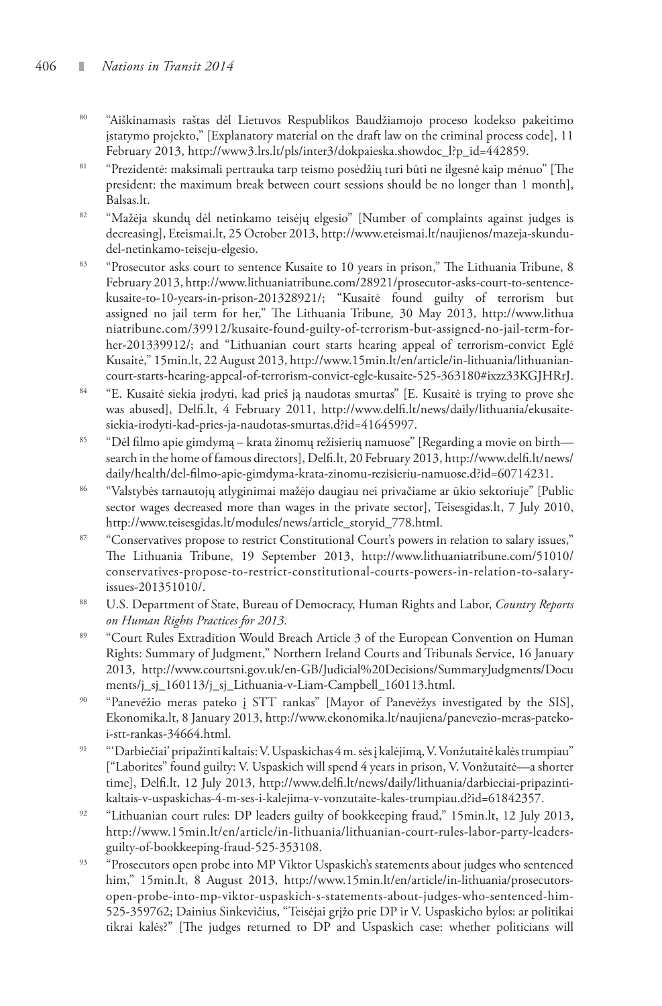- 80 "Aiškinamasis raštas dėl Lietuvos Respublikos Baudžiamojo proceso kodekso pakeitimo įstatymo projekto," [Explanatory material on the draft law on the criminal process code], 11 February 2013, http://www3.lrs.lt/pls/inter3/dokpaieska.showdoc\_l?p\_id=442859.
- 81 "Prezidentė: maksimali pertrauka tarp teismo posėdžių turi būti ne ilgesnė kaip mėnuo" [The president: the maximum break between court sessions should be no longer than 1 month], Balsas.lt.
- 82 "Mažėja skundų dėl netinkamo teisėjų elgesio" [Number of complaints against judges is decreasing], Eteismai.lt, 25 October 2013, http://www.eteismai.lt/naujienos/mazeja-skundudel-netinkamo-teiseju-elgesio.
- <sup>83</sup> "Prosecutor asks court to sentence Kusaite to 10 years in prison," The Lithuania Tribune, 8 February 2013, http://www.lithuaniatribune.com/28921/prosecutor-asks-court-to-sentencekusaite-to-10-years-in-prison-201328921/; "Kusaitė found guilty of terrorism but assigned no jail term for her," The Lithuania Tribune*,* 30 May 2013, http://www.lithua niatribune.com/39912/kusaite-found-guilty-of-terrorism-but-assigned-no-jail-term-forher-201339912/; and "Lithuanian court starts hearing appeal of terrorism-convict Eglė Kusaitė," 15min.lt, 22 August 2013, http://www.15min.lt/en/article/in-lithuania/lithuaniancourt-starts-hearing-appeal-of-terrorism-convict-egle-kusaite-525-363180#ixzz33KGJHRrJ.
- <sup>84</sup> "E. Kusaitė siekia įrodyti, kad prieš ją naudotas smurtas" [E. Kusaitė is trying to prove she was abused], Delfi.lt, 4 February 2011, http://www.delfi.lt/news/daily/lithuania/ekusaitesiekia-irodyti-kad-pries-ja-naudotas-smurtas.d?id=41645997.
- 85 "Dėl filmo apie gimdymą krata žinomų režisierių namuose" [Regarding a movie on birth search in the home of famous directors], Delfi.lt, 20 February 2013, http://www.delfi.lt/news/ daily/health/del-filmo-apie-gimdyma-krata-zinomu-rezisieriu-namuose.d?id=60714231.
- 86 "Valstybės tarnautojų atlyginimai mažėjo daugiau nei privačiame ar ūkio sektoriuje" [Public sector wages decreased more than wages in the private sector], Teisesgidas.lt, 7 July 2010, http://www.teisesgidas.lt/modules/news/article\_storyid\_778.html.
- <sup>87</sup> "Conservatives propose to restrict Constitutional Court's powers in relation to salary issues," The Lithuania Tribune, 19 September 2013, http://www.lithuaniatribune.com/51010/ conservatives-propose-to-restrict-constitutional-courts-powers-in-relation-to-salaryissues-201351010/.
- 88 U.S. Department of State, Bureau of Democracy, Human Rights and Labor, *Country Reports on Human Rights Practices for 2013.*
- <sup>89</sup> "Court Rules Extradition Would Breach Article 3 of the European Convention on Human Rights: Summary of Judgment," Northern Ireland Courts and Tribunals Service, 16 January 2013, http://www.courtsni.gov.uk/en-GB/Judicial%20Decisions/SummaryJudgments/Docu ments/j\_sj\_160113/j\_sj\_Lithuania-v-Liam-Campbell\_160113.html.
- 90 "Panevėžio meras pateko į STT rankas" [Mayor of Panevėžys investigated by the SIS], Ekonomika.lt, 8 January 2013, http://www.ekonomika.lt/naujiena/panevezio-meras-patekoi-stt-rankas-34664.html.
- 91 "Oarbiečiai' pripažinti kaltais: V. Uspaskichas 4 m. sės į kalėjimą, V. Vonžutaitė kalės trumpiau ["Laborites" found guilty: V. Uspaskich will spend 4 years in prison, V. Vonžutaitė—a shorter time], Delfi.lt, 12 July 2013, http://www.delfi.lt/news/daily/lithuania/darbieciai-pripazintikaltais-v-uspaskichas-4-m-ses-i-kalejima-v-vonzutaite-kales-trumpiau.d?id=61842357.
- <sup>92</sup> "Lithuanian court rules: DP leaders guilty of bookkeeping fraud," 15min.lt, 12 July 2013, http://www.15min.lt/en/article/in-lithuania/lithuanian-court-rules-labor-party-leadersguilty-of-bookkeeping-fraud-525-353108.
- <sup>93</sup> "Prosecutors open probe into MP Viktor Uspaskich's statements about judges who sentenced him," 15min.lt, 8 August 2013, http://www.15min.lt/en/article/in-lithuania/prosecutorsopen-probe-into-mp-viktor-uspaskich-s-statements-about-judges-who-sentenced-him-525-359762; Dainius Sinkevičius, "Teisėjai grįžo prie DP ir V. Uspaskicho bylos: ar politikai tikrai kalės?" [The judges returned to DP and Uspaskich case: whether politicians will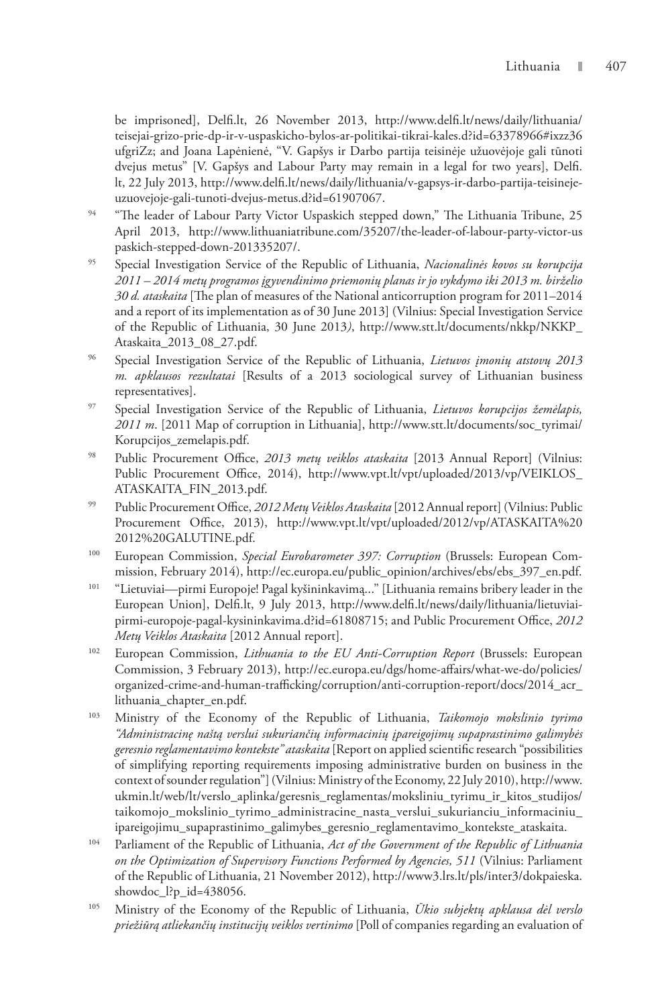be imprisoned], Delfi.lt, 26 November 2013, http://www.delfi.lt/news/daily/lithuania/ teisejai-grizo-prie-dp-ir-v-uspaskicho-bylos-ar-politikai-tikrai-kales.d?id=63378966#ixzz36 ufgriZz; and Joana Lapėnienė, "V. Gapšys ir Darbo partija teisinėje užuovėjoje gali tūnoti dvejus metus" [V. Gapšys and Labour Party may remain in a legal for two years], Delfi. lt, 22 July 2013, http://www.delfi.lt/news/daily/lithuania/v-gapsys-ir-darbo-partija-teisinejeuzuovejoje-gali-tunoti-dvejus-metus.d?id=61907067.

- <sup>94</sup> "The leader of Labour Party Victor Uspaskich stepped down," The Lithuania Tribune, 25 April 2013, http://www.lithuaniatribune.com/35207/the-leader-of-labour-party-victor-us paskich-stepped-down-201335207/.
- 95 Special Investigation Service of the Republic of Lithuania, *Nacionalinės kovos su korupcija 2011 – 2014 metų programos įgyvendinimo priemonių planas ir jo vykdymo iki 2013 m. birželio 30 d. ataskaita* [The plan of measures of the National anticorruption program for 2011–2014 and a report of its implementation as of 30 June 2013] (Vilnius: Special Investigation Service of the Republic of Lithuania, 30 June 2013*)*, http://www.stt.lt/documents/nkkp/NKKP\_ Ataskaita\_2013\_08\_27.pdf.
- 96 Special Investigation Service of the Republic of Lithuania, *Lietuvos įmonių atstovų 2013 m. apklausos rezultatai* [Results of a 2013 sociological survey of Lithuanian business representatives].
- 97 Special Investigation Service of the Republic of Lithuania, *Lietuvos korupcijos žemėlapis, 2011 m*. [2011 Map of corruption in Lithuania], http://www.stt.lt/documents/soc\_tyrimai/ Korupcijos\_zemelapis.pdf.
- 98 Public Procurement Office, *2013 metų veiklos ataskaita* [2013 Annual Report] (Vilnius: Public Procurement Office, 2014), http://www.vpt.lt/vpt/uploaded/2013/vp/VEIKLOS\_ ATASKAITA\_FIN\_2013.pdf.
- 99 Public Procurement Office, *2012 Metų Veiklos Ataskaita* [2012 Annual report] (Vilnius: Public Procurement Office, 2013), http://www.vpt.lt/vpt/uploaded/2012/vp/ATASKAITA%20 2012%20GALUTINE.pdf.
- 100 European Commission, *Special Eurobarometer 397: Corruption* (Brussels: European Commission, February 2014), http://ec.europa.eu/public\_opinion/archives/ebs/ebs\_397\_en.pdf.
- 101 "Lietuviai—pirmi Europoje! Pagal kyšininkavimą..." [Lithuania remains bribery leader in the European Union], Delfi.lt, 9 July 2013, http://www.delfi.lt/news/daily/lithuania/lietuviaipirmi-europoje-pagal-kysininkavima.d?id=61808715; and Public Procurement Office, *2012 Metų Veiklos Ataskaita* [2012 Annual report].
- 102 European Commission, *Lithuania to the EU Anti-Corruption Report* (Brussels: European Commission, 3 February 2013), http://ec.europa.eu/dgs/home-affairs/what-we-do/policies/ organized-crime-and-human-trafficking/corruption/anti-corruption-report/docs/2014\_acr\_ lithuania\_chapter\_en.pdf.
- 103 Ministry of the Economy of the Republic of Lithuania, *Taikomojo mokslinio tyrimo "Administracinę naštą verslui sukuriančių informacinių įpareigojimų supaprastinimo galimybės geresnio reglamentavimo kontekste" ataskaita* [Report on applied scientific research "possibilities of simplifying reporting requirements imposing administrative burden on business in the context of sounder regulation"] (Vilnius: Ministry of the Economy, 22 July 2010), http://www. ukmin.lt/web/lt/verslo\_aplinka/geresnis\_reglamentas/moksliniu\_tyrimu\_ir\_kitos\_studijos/ taikomojo\_mokslinio\_tyrimo\_administracine\_nasta\_verslui\_sukurianciu\_informaciniu\_ ipareigojimu\_supaprastinimo\_galimybes\_geresnio\_reglamentavimo\_kontekste\_ataskaita.
- 104 Parliament of the Republic of Lithuania, *Act of the Government of the Republic of Lithuania on the Optimization of Supervisory Functions Performed by Agencies, 511* (Vilnius: Parliament of the Republic of Lithuania, 21 November 2012), http://www3.lrs.lt/pls/inter3/dokpaieska. showdoc\_l?p\_id=438056.
- 105 Ministry of the Economy of the Republic of Lithuania, *Ūkio subjektų apklausa dėl verslo priežiūrą atliekančių institucijų veiklos vertinimo* [Poll of companies regarding an evaluation of